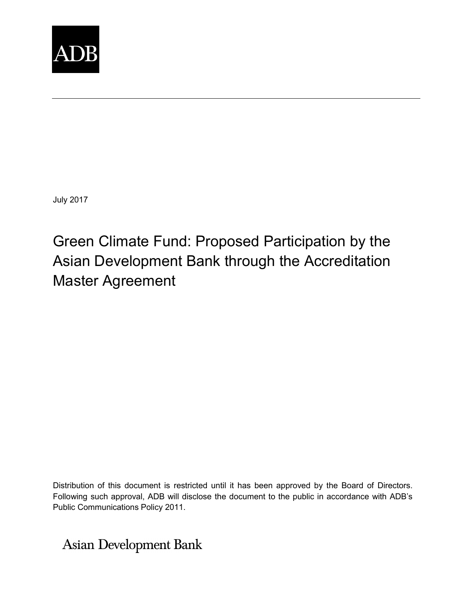

July 2017

Green Climate Fund: Proposed Participation by the Asian Development Bank through the Accreditation Master Agreement

Distribution of this document is restricted until it has been approved by the Board of Directors. Following such approval, ADB will disclose the document to the public in accordance with ADB's Public Communications Policy 2011.

**Asian Development Bank**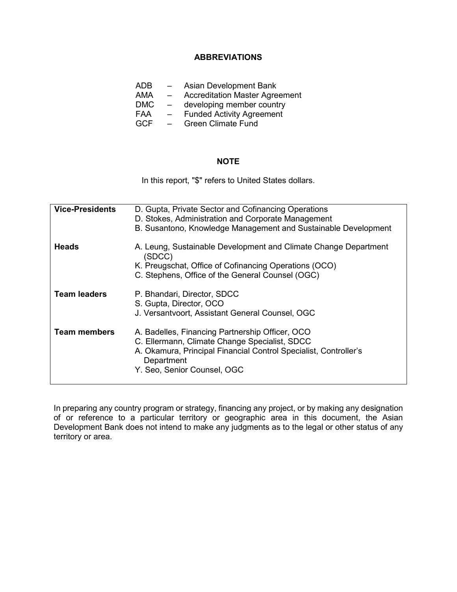# **ABBREVIATIONS**

- ADB Asian Development Bank<br>AMA Accreditation Master Agree
- Accreditation Master Agreement
- DMC developing member country
- FAA – Funded Activity Agreement
- GCF Green Climate Fund

# **NOTE**

In this report, "\$" refers to United States dollars.

| <b>Vice-Presidents</b> | D. Gupta, Private Sector and Cofinancing Operations<br>D. Stokes, Administration and Corporate Management<br>B. Susantono, Knowledge Management and Sustainable Development                                       |
|------------------------|-------------------------------------------------------------------------------------------------------------------------------------------------------------------------------------------------------------------|
| <b>Heads</b>           | A. Leung, Sustainable Development and Climate Change Department<br>(SDCC)<br>K. Preugschat, Office of Cofinancing Operations (OCO)<br>C. Stephens, Office of the General Counsel (OGC)                            |
| <b>Team leaders</b>    | P. Bhandari, Director, SDCC<br>S. Gupta, Director, OCO<br>J. Versantvoort, Assistant General Counsel, OGC                                                                                                         |
| <b>Team members</b>    | A. Badelles, Financing Partnership Officer, OCO<br>C. Ellermann, Climate Change Specialist, SDCC<br>A. Okamura, Principal Financial Control Specialist, Controller's<br>Department<br>Y. Seo, Senior Counsel, OGC |

In preparing any country program or strategy, financing any project, or by making any designation of or reference to a particular territory or geographic area in this document, the Asian Development Bank does not intend to make any judgments as to the legal or other status of any territory or area.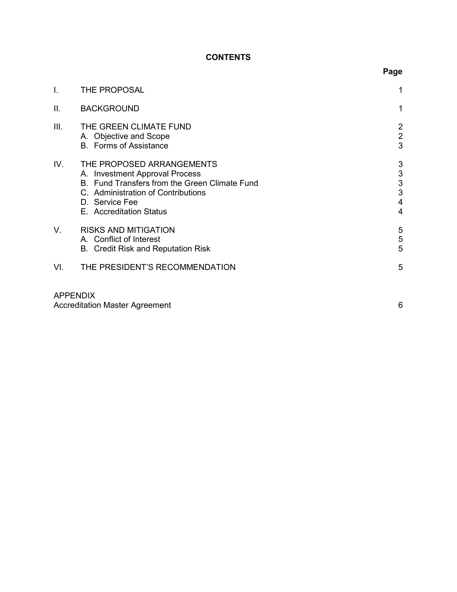# **CONTENTS**

| I.   | THE PROPOSAL                                                                                                                                                                                    |                                                                          |
|------|-------------------------------------------------------------------------------------------------------------------------------------------------------------------------------------------------|--------------------------------------------------------------------------|
| ΙΙ.  | <b>BACKGROUND</b>                                                                                                                                                                               |                                                                          |
| III. | THE GREEN CLIMATE FUND<br>A. Objective and Scope<br><b>B.</b> Forms of Assistance                                                                                                               | $\overline{2}$<br>$\overline{c}$<br>$\overline{3}$                       |
| IV.  | THE PROPOSED ARRANGEMENTS<br>A. Investment Approval Process<br>B. Fund Transfers from the Green Climate Fund<br>C. Administration of Contributions<br>D. Service Fee<br>E. Accreditation Status | 3<br>$\ensuremath{\mathsf{3}}$<br>$\sqrt{3}$<br>3<br>4<br>$\overline{4}$ |
| V.   | <b>RISKS AND MITIGATION</b><br>A. Conflict of Interest<br>B. Credit Risk and Reputation Risk                                                                                                    | 5<br>$\sqrt{5}$<br>5                                                     |
| VI.  | THE PRESIDENT'S RECOMMENDATION                                                                                                                                                                  | 5                                                                        |
|      | <b>APPENDIX</b>                                                                                                                                                                                 |                                                                          |

| <b>Accreditation Master Agreement</b> |  |
|---------------------------------------|--|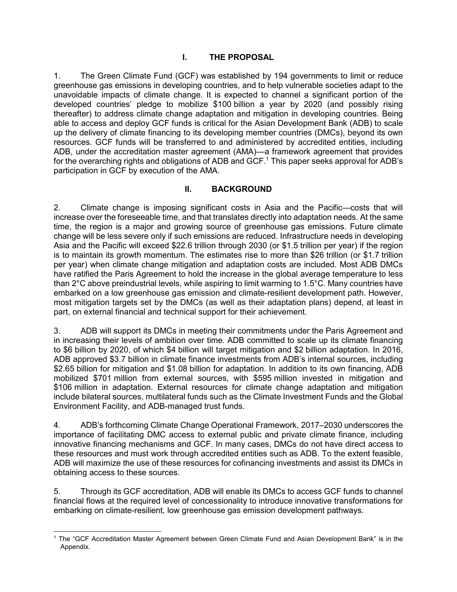# **I. THE PROPOSAL**

1. The Green Climate Fund (GCF) was established by 194 governments to limit or reduce greenhouse gas emissions in developing countries, and to help vulnerable societies adapt to the unavoidable impacts of climate change. It is expected to channel a significant portion of the developed countries' pledge to mobilize \$100 billion a year by 2020 (and possibly rising thereafter) to address climate change adaptation and mitigation in developing countries. Being able to access and deploy GCF funds is critical for the Asian Development Bank (ADB) to scale up the delivery of climate financing to its developing member countries (DMCs), beyond its own resources. GCF funds will be transferred to and administered by accredited entities, including ADB, under the accreditation master agreement (AMA)—a framework agreement that provides for the overarching rights and obligations of ADB and GCF.<sup>1</sup> This paper seeks approval for ADB's participation in GCF by execution of the AMA.

# **II. BACKGROUND**

2. Climate change is imposing significant costs in Asia and the Pacific—costs that will increase over the foreseeable time, and that translates directly into adaptation needs. At the same time, the region is a major and growing source of greenhouse gas emissions. Future climate change will be less severe only if such emissions are reduced. Infrastructure needs in developing Asia and the Pacific will exceed \$22.6 trillion through 2030 (or \$1.5 trillion per year) if the region is to maintain its growth momentum. The estimates rise to more than \$26 trillion (or \$1.7 trillion per year) when climate change mitigation and adaptation costs are included. Most ADB DMCs have ratified the Paris Agreement to hold the increase in the global average temperature to less than 2°C above preindustrial levels, while aspiring to limit warming to 1.5°C. Many countries have embarked on a low greenhouse gas emission and climate-resilient development path. However, most mitigation targets set by the DMCs (as well as their adaptation plans) depend, at least in part, on external financial and technical support for their achievement.

3. ADB will support its DMCs in meeting their commitments under the Paris Agreement and in increasing their levels of ambition over time. ADB committed to scale up its climate financing to \$6 billion by 2020, of which \$4 billion will target mitigation and \$2 billion adaptation. In 2016, ADB approved \$3.7 billion in climate finance investments from ADB's internal sources, including \$2.65 billion for mitigation and \$1.08 billion for adaptation. In addition to its own financing, ADB mobilized \$701 million from external sources, with \$595 million invested in mitigation and \$106 million in adaptation. External resources for climate change adaptation and mitigation include bilateral sources, multilateral funds such as the Climate Investment Funds and the Global Environment Facility, and ADB-managed trust funds.

4. ADB's forthcoming Climate Change Operational Framework, 2017–2030 underscores the importance of facilitating DMC access to external public and private climate finance, including innovative financing mechanisms and GCF. In many cases, DMCs do not have direct access to these resources and must work through accredited entities such as ADB. To the extent feasible, ADB will maximize the use of these resources for cofinancing investments and assist its DMCs in obtaining access to these sources.

5. Through its GCF accreditation, ADB will enable its DMCs to access GCF funds to channel financial flows at the required level of concessionality to introduce innovative transformations for embarking on climate-resilient, low greenhouse gas emission development pathways.

<sup>1</sup> The "GCF Accreditation Master Agreement between Green Climate Fund and Asian Development Bank" is in the Appendix.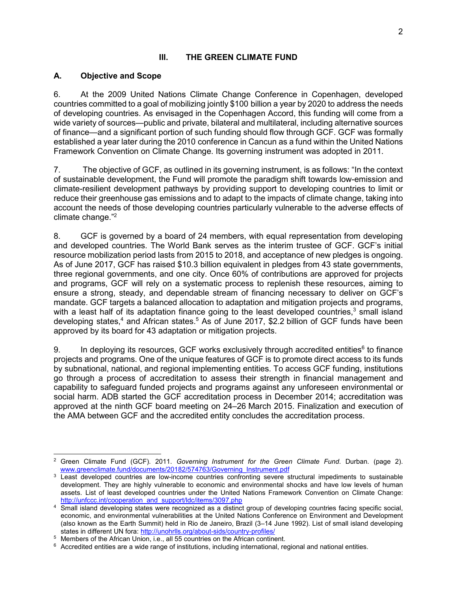# **III. THE GREEN CLIMATE FUND**

# **A. Objective and Scope**

6. At the 2009 United Nations Climate Change Conference in Copenhagen, developed countries committed to a goal of mobilizing jointly \$100 billion a year by 2020 to address the needs of developing countries. As envisaged in the Copenhagen Accord, this funding will come from a wide variety of sources—public and private, bilateral and multilateral, including alternative sources of finance—and a significant portion of such funding should flow through GCF. GCF was formally established a year later during the 2010 conference in Cancun as a fund within the United Nations Framework Convention on Climate Change. Its governing instrument was adopted in 2011.

7. The objective of GCF, as outlined in its governing instrument, is as follows: "In the context of sustainable development, the Fund will promote the paradigm shift towards low-emission and climate-resilient development pathways by providing support to developing countries to limit or reduce their greenhouse gas emissions and to adapt to the impacts of climate change, taking into account the needs of those developing countries particularly vulnerable to the adverse effects of climate change."<sup>2</sup>

8. GCF is governed by a board of 24 members, with equal representation from developing and developed countries. The World Bank serves as the interim trustee of GCF. GCF's initial resource mobilization period lasts from 2015 to 2018, and acceptance of new pledges is ongoing. As of June 2017, GCF has raised \$10.3 billion equivalent in pledges from 43 state governments, three regional governments, and one city. Once 60% of contributions are approved for projects and programs, GCF will rely on a systematic process to replenish these resources, aiming to ensure a strong, steady, and dependable stream of financing necessary to deliver on GCF's mandate. GCF targets a balanced allocation to adaptation and mitigation projects and programs, with a least half of its adaptation finance going to the least developed countries,<sup>3</sup> small island developing states,<sup>4</sup> and African states.<sup>5</sup> As of June 2017, \$2.2 billion of GCF funds have been approved by its board for 43 adaptation or mitigation projects.

9. In deploying its resources, GCF works exclusively through accredited entities $6$  to finance projects and programs. One of the unique features of GCF is to promote direct access to its funds by subnational, national, and regional implementing entities. To access GCF funding, institutions go through a process of accreditation to assess their strength in financial management and capability to safeguard funded projects and programs against any unforeseen environmental or social harm. ADB started the GCF accreditation process in December 2014; accreditation was approved at the ninth GCF board meeting on 24–26 March 2015. Finalization and execution of the AMA between GCF and the accredited entity concludes the accreditation process.

<sup>-</sup>2 Green Climate Fund (GCF). 2011. *Governing Instrument for the Green Climate Fund*. Durban. (page 2). www.greenclimate.fund/documents/20182/574763/Governing\_Instrument.pdf

<sup>&</sup>lt;sup>3</sup> Least developed countries are low-income countries confronting severe structural impediments to sustainable development. They are highly vulnerable to economic and environmental shocks and have low levels of human assets. List of least developed countries under the United Nations Framework Convention on Climate Change: http://unfccc.int/cooperation\_and\_support/ldc/items/3097.php

<sup>4</sup> Small island developing states were recognized as a distinct group of developing countries facing specific social, economic, and environmental vulnerabilities at the United Nations Conference on Environment and Development (also known as the Earth Summit) held in Rio de Janeiro, Brazil (3–14 June 1992). List of small island developing states in different UN fora: http://unohrlls.org/about-sids/country-profiles/

<sup>5</sup> Members of the African Union, i.e., all 55 countries on the African continent.

 $6$  Accredited entities are a wide range of institutions, including international, regional and national entities.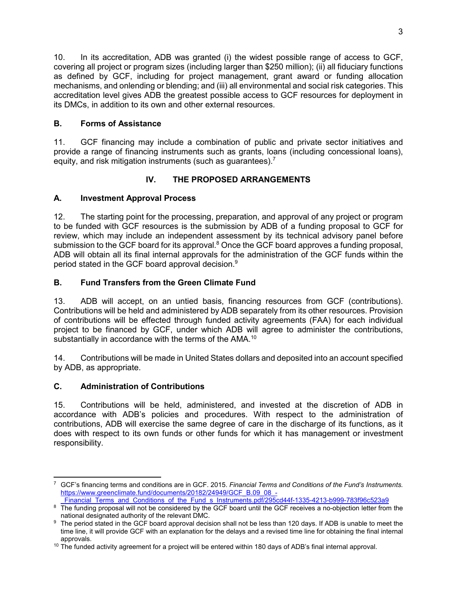10. In its accreditation, ADB was granted (i) the widest possible range of access to GCF, covering all project or program sizes (including larger than \$250 million); (ii) all fiduciary functions as defined by GCF, including for project management, grant award or funding allocation mechanisms, and onlending or blending; and (iii) all environmental and social risk categories. This accreditation level gives ADB the greatest possible access to GCF resources for deployment in its DMCs, in addition to its own and other external resources.

# **B. Forms of Assistance**

11. GCF financing may include a combination of public and private sector initiatives and provide a range of financing instruments such as grants, loans (including concessional loans), equity, and risk mitigation instruments (such as quarantees).<sup>7</sup>

# **IV. THE PROPOSED ARRANGEMENTS**

# **A. Investment Approval Process**

12. The starting point for the processing, preparation, and approval of any project or program to be funded with GCF resources is the submission by ADB of a funding proposal to GCF for review, which may include an independent assessment by its technical advisory panel before submission to the GCF board for its approval.<sup>8</sup> Once the GCF board approves a funding proposal, ADB will obtain all its final internal approvals for the administration of the GCF funds within the period stated in the GCF board approval decision. $9$ 

# **B. Fund Transfers from the Green Climate Fund**

13. ADB will accept, on an untied basis, financing resources from GCF (contributions). Contributions will be held and administered by ADB separately from its other resources. Provision of contributions will be effected through funded activity agreements (FAA) for each individual project to be financed by GCF, under which ADB will agree to administer the contributions, substantially in accordance with the terms of the AMA.<sup>10</sup>

14. Contributions will be made in United States dollars and deposited into an account specified by ADB, as appropriate.

# **C. Administration of Contributions**

15. Contributions will be held, administered, and invested at the discretion of ADB in accordance with ADB's policies and procedures. With respect to the administration of contributions, ADB will exercise the same degree of care in the discharge of its functions, as it does with respect to its own funds or other funds for which it has management or investment responsibility.

 7 GCF's financing terms and conditions are in GCF. 2015. *Financial Terms and Conditions of the Fund's Instruments.* https://www.greenclimate.fund/documents/20182/24949/GCF\_B.09\_08\_-

Financial\_Terms\_and\_Conditions\_of\_the\_Fund\_s\_Instruments.pdf/295cd44f-1335-4213-b999-783f96c523a9

<sup>&</sup>lt;sup>8</sup> The funding proposal will not be considered by the GCF board until the GCF receives a no-objection letter from the national designated authority of the relevant DMC.

<sup>&</sup>lt;sup>9</sup> The period stated in the GCF board approval decision shall not be less than 120 days. If ADB is unable to meet the time line, it will provide GCF with an explanation for the delays and a revised time line for obtaining the final internal approvals.

<sup>&</sup>lt;sup>10</sup> The funded activity agreement for a project will be entered within 180 days of ADB's final internal approval.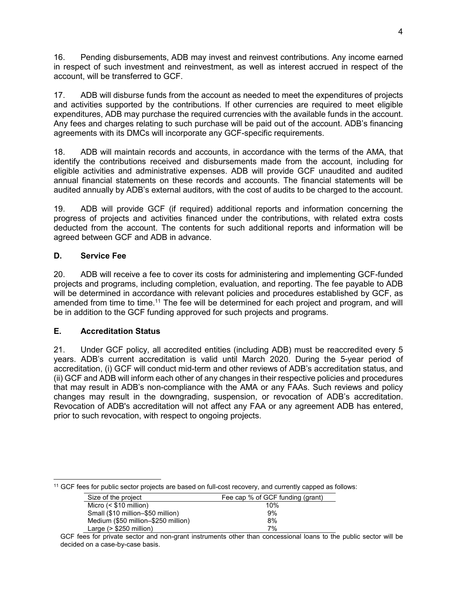16. Pending disbursements, ADB may invest and reinvest contributions. Any income earned in respect of such investment and reinvestment, as well as interest accrued in respect of the account, will be transferred to GCF.

17. ADB will disburse funds from the account as needed to meet the expenditures of projects and activities supported by the contributions. If other currencies are required to meet eligible expenditures, ADB may purchase the required currencies with the available funds in the account. Any fees and charges relating to such purchase will be paid out of the account. ADB's financing agreements with its DMCs will incorporate any GCF-specific requirements.

18. ADB will maintain records and accounts, in accordance with the terms of the AMA, that identify the contributions received and disbursements made from the account, including for eligible activities and administrative expenses. ADB will provide GCF unaudited and audited annual financial statements on these records and accounts. The financial statements will be audited annually by ADB's external auditors, with the cost of audits to be charged to the account.

19. ADB will provide GCF (if required) additional reports and information concerning the progress of projects and activities financed under the contributions, with related extra costs deducted from the account. The contents for such additional reports and information will be agreed between GCF and ADB in advance.

# **D. Service Fee**

20. ADB will receive a fee to cover its costs for administering and implementing GCF-funded projects and programs, including completion, evaluation, and reporting. The fee payable to ADB will be determined in accordance with relevant policies and procedures established by GCF, as amended from time to time.<sup>11</sup> The fee will be determined for each project and program, and will be in addition to the GCF funding approved for such projects and programs.

# **E. Accreditation Status**

21. Under GCF policy, all accredited entities (including ADB) must be reaccredited every 5 years. ADB's current accreditation is valid until March 2020. During the 5-year period of accreditation, (i) GCF will conduct mid-term and other reviews of ADB's accreditation status, and (ii) GCF and ADB will inform each other of any changes in their respective policies and procedures that may result in ADB's non-compliance with the AMA or any FAAs. Such reviews and policy changes may result in the downgrading, suspension, or revocation of ADB's accreditation. Revocation of ADB's accreditation will not affect any FAA or any agreement ADB has entered, prior to such revocation, with respect to ongoing projects.

| <sup>11</sup> GCF fees for public sector projects are based on full-cost recovery, and currently capped as follows: |  |
|---------------------------------------------------------------------------------------------------------------------|--|

| Size of the project                 | Fee cap % of GCF funding (grant) |
|-------------------------------------|----------------------------------|
| Micro $($10 \text{ million})$       | 10%                              |
| Small (\$10 million-\$50 million)   | 9%                               |
| Medium (\$50 million-\$250 million) | 8%                               |
| Large $(> $250$ million)            | 7%                               |

GCF fees for private sector and non-grant instruments other than concessional loans to the public sector will be decided on a case-by-case basis.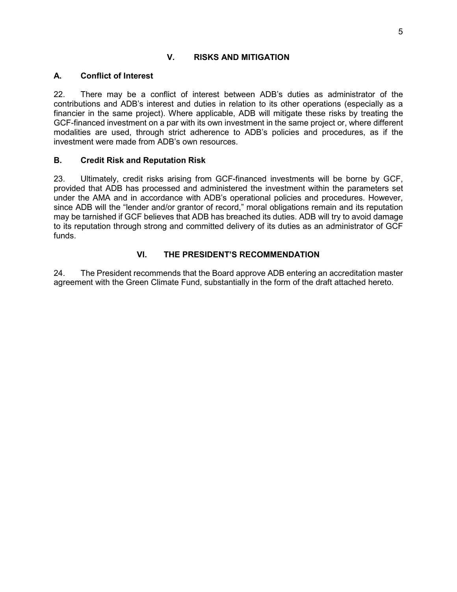# **V. RISKS AND MITIGATION**

# **A. Conflict of Interest**

22. There may be a conflict of interest between ADB's duties as administrator of the contributions and ADB's interest and duties in relation to its other operations (especially as a financier in the same project). Where applicable, ADB will mitigate these risks by treating the GCF-financed investment on a par with its own investment in the same project or, where different modalities are used, through strict adherence to ADB's policies and procedures, as if the investment were made from ADB's own resources.

# **B. Credit Risk and Reputation Risk**

23. Ultimately, credit risks arising from GCF-financed investments will be borne by GCF, provided that ADB has processed and administered the investment within the parameters set under the AMA and in accordance with ADB's operational policies and procedures. However, since ADB will the "lender and/or grantor of record," moral obligations remain and its reputation may be tarnished if GCF believes that ADB has breached its duties. ADB will try to avoid damage to its reputation through strong and committed delivery of its duties as an administrator of GCF funds.

# **VI. THE PRESIDENT'S RECOMMENDATION**

24. The President recommends that the Board approve ADB entering an accreditation master agreement with the Green Climate Fund, substantially in the form of the draft attached hereto.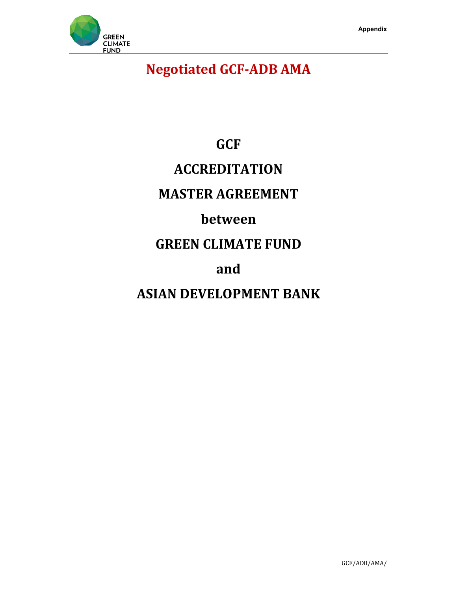

# **Negotiated GCF-ADB AMA**

# **GCF**

# **ACCREDITATION**

# **MASTER AGREEMENT**

# **between**

# **GREEN CLIMATE FUND**

# **and**

# **ASIAN DEVELOPMENT BANK**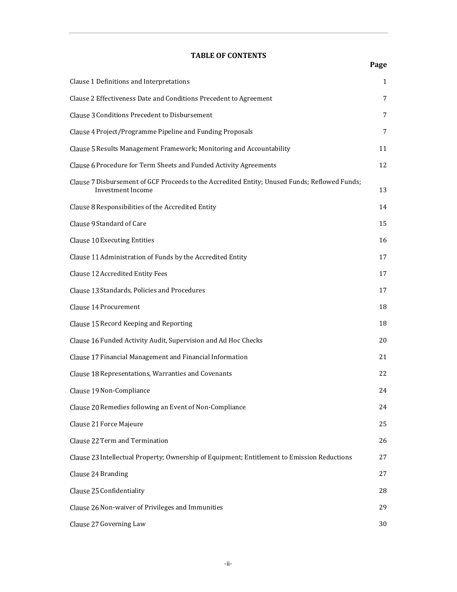# **TABLE OF CONTENTS**

| Clause 1 Definitions and Interpretations                                                                                  | $\mathbf{1}$ |
|---------------------------------------------------------------------------------------------------------------------------|--------------|
| Clause 2 Effectiveness Date and Conditions Precedent to Agreement                                                         | 7            |
| Clause 3 Conditions Precedent to Disbursement                                                                             | 7            |
| Clause 4 Project/Programme Pipeline and Funding Proposals                                                                 | 7            |
| Clause 5 Results Management Framework; Monitoring and Accountability                                                      | 11           |
| Clause 6 Procedure for Term Sheets and Funded Activity Agreements                                                         | 12           |
| Clause 7 Disbursement of GCF Proceeds to the Accredited Entity; Unused Funds; Reflowed Funds;<br><b>Investment Income</b> | 13           |
| Clause 8 Responsibilities of the Accredited Entity                                                                        | 14           |
| Clause 9 Standard of Care                                                                                                 | 15           |
| <b>Clause 10 Executing Entities</b>                                                                                       | 16           |
| Clause 11 Administration of Funds by the Accredited Entity                                                                | 17           |
| Clause 12 Accredited Entity Fees                                                                                          | 17           |
| Clause 13 Standards, Policies and Procedures                                                                              | 17           |
| Clause 14 Procurement                                                                                                     | 18           |
| Clause 15 Record Keeping and Reporting                                                                                    | 18           |
| Clause 16 Funded Activity Audit, Supervision and Ad Hoc Checks                                                            | 20           |
| Clause 17 Financial Management and Financial Information                                                                  | 21           |
| Clause 18 Representations, Warranties and Covenants                                                                       | 22           |
| Clause 19 Non-Compliance                                                                                                  | 24           |
| Clause 20 Remedies following an Event of Non-Compliance                                                                   | 24           |
| Clause 21 Force Majeure                                                                                                   | 25           |
| Clause 22 Term and Termination                                                                                            | 26           |
| Clause 23 Intellectual Property; Ownership of Equipment; Entitlement to Emission Reductions                               | 27           |
| Clause 24 Branding                                                                                                        | 27           |
| Clause 25 Confidentiality                                                                                                 | 28           |
| Clause 26 Non-waiver of Privileges and Immunities                                                                         | 29           |
| Clause 27 Governing Law                                                                                                   | 30           |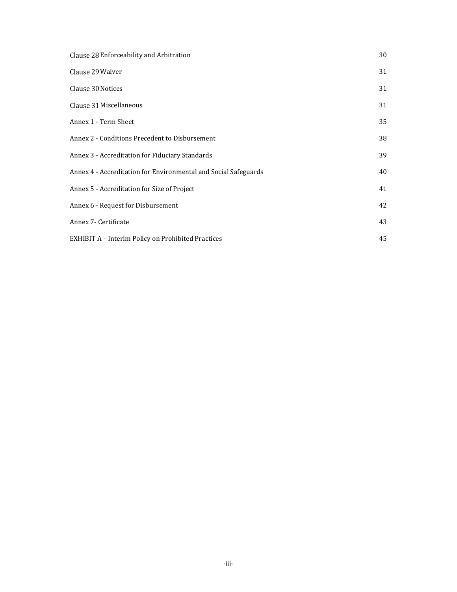| Clause 28 Enforceability and Arbitration                        | 30 |
|-----------------------------------------------------------------|----|
| Clause 29 Waiver                                                | 31 |
| Clause 30 Notices                                               | 31 |
| Clause 31 Miscellaneous                                         | 31 |
| Annex 1 - Term Sheet                                            | 35 |
| Annex 2 - Conditions Precedent to Disbursement                  | 38 |
| Annex 3 - Accreditation for Fiduciary Standards                 | 39 |
| Annex 4 - Accreditation for Environmental and Social Safeguards | 40 |
| Annex 5 - Accreditation for Size of Project                     | 41 |
| Annex 6 - Request for Disbursement                              | 42 |
| Annex 7- Certificate                                            | 43 |
| <b>EXHIBIT A - Interim Policy on Prohibited Practices</b>       | 45 |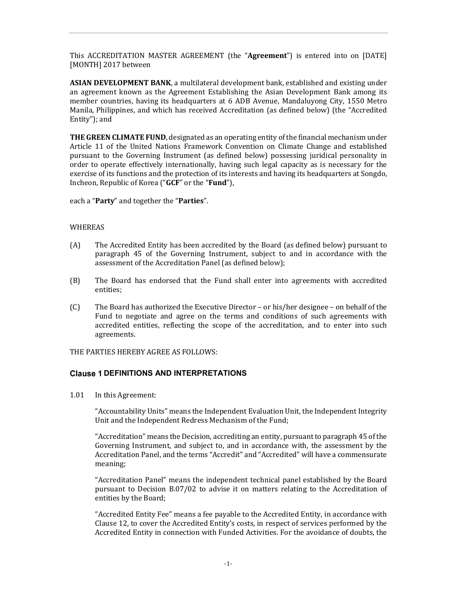This ACCREDITATION MASTER AGREEMENT (the "**Agreement**") is entered into on [DATE] [MONTH] 2017 between

**ASIAN DEVELOPMENT BANK**, a multilateral development bank, established and existing under an agreement known as the Agreement Establishing the Asian Development Bank among its member countries, having its headquarters at 6 ADB Avenue, Mandaluyong City, 1550 Metro Manila, Philippines, and which has received Accreditation (as defined below) (the "Accredited Entity"); and

**THE GREEN CLIMATE FUND**, designated as an operating entity of the financial mechanism under Article 11 of the United Nations Framework Convention on Climate Change and established pursuant to the Governing Instrument (as defined below) possessing juridical personality in order to operate effectively internationally, having such legal capacity as is necessary for the exercise of its functions and the protection of its interests and having its headquarters at Songdo, Incheon, Republic of Korea ("**GCF**" or the "**Fund**"),

each a "**Party**" and together the "**Parties**".

### WHEREAS

- (A) The Accredited Entity has been accredited by the Board (as defined below) pursuant to paragraph 45 of the Governing Instrument, subject to and in accordance with the assessment of the Accreditation Panel (as defined below);
- (B) The Board has endorsed that the Fund shall enter into agreements with accredited entities;
- (C) The Board has authorized the Executive Director or his/her designee on behalf of the Fund to negotiate and agree on the terms and conditions of such agreements with accredited entities, reflecting the scope of the accreditation, and to enter into such agreements.

THE PARTIES HEREBY AGREE AS FOLLOWS:

# **Clause 1 DEFINITIONS AND INTERPRETATIONS**

1.01 In this Agreement:

"Accountability Units" means the Independent Evaluation Unit, the Independent Integrity Unit and the Independent Redress Mechanism of the Fund;

"Accreditation" means the Decision, accrediting an entity, pursuant to paragraph 45 of the Governing Instrument, and subject to, and in accordance with, the assessment by the Accreditation Panel, and the terms "Accredit" and "Accredited" will have a commensurate meaning;

"Accreditation Panel" means the independent technical panel established by the Board pursuant to Decision B.07/02 to advise it on matters relating to the Accreditation of entities by the Board;

"Accredited Entity Fee" means a fee payable to the Accredited Entity, in accordance with Clause 12, to cover the Accredited Entity's costs, in respect of services performed by the Accredited Entity in connection with Funded Activities. For the avoidance of doubts, the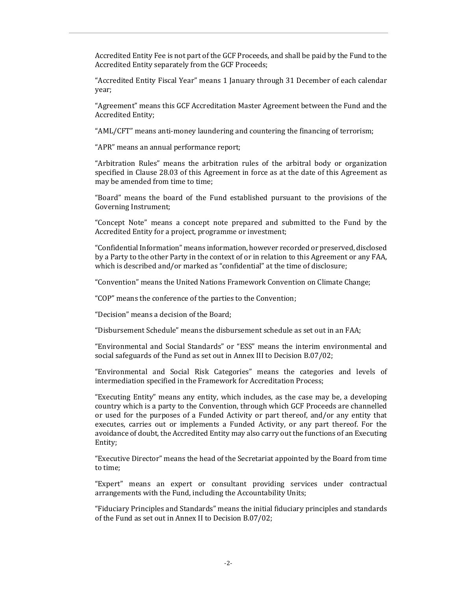Accredited Entity Fee is not part of the GCF Proceeds, and shall be paid by the Fund to the Accredited Entity separately from the GCF Proceeds;

"Accredited Entity Fiscal Year" means 1 January through 31 December of each calendar year;

"Agreement" means this GCF Accreditation Master Agreement between the Fund and the Accredited Entity;

"AML/CFT" means anti-money laundering and countering the financing of terrorism;

"APR" means an annual performance report;

"Arbitration Rules" means the arbitration rules of the arbitral body or organization specified in Clause 28.03 of this Agreement in force as at the date of this Agreement as may be amended from time to time;

"Board" means the board of the Fund established pursuant to the provisions of the Governing Instrument;

"Concept Note" means a concept note prepared and submitted to the Fund by the Accredited Entity for a project, programme or investment;

"Confidential Information" means information, however recorded or preserved, disclosed by a Party to the other Party in the context of or in relation to this Agreement or any FAA, which is described and/or marked as "confidential" at the time of disclosure;

"Convention" means the United Nations Framework Convention on Climate Change;

"COP" means the conference of the parties to the Convention;

"Decision" means a decision of the Board;

"Disbursement Schedule" means the disbursement schedule as set out in an FAA;

"Environmental and Social Standards" or "ESS" means the interim environmental and social safeguards of the Fund as set out in Annex III to Decision B.07/02;

"Environmental and Social Risk Categories" means the categories and levels of intermediation specified in the Framework for Accreditation Process;

"Executing Entity" means any entity, which includes, as the case may be, a developing country which is a party to the Convention, through which GCF Proceeds are channelled or used for the purposes of a Funded Activity or part thereof, and/or any entity that executes, carries out or implements a Funded Activity, or any part thereof. For the avoidance of doubt, the Accredited Entity may also carry out the functions of an Executing Entity;

"Executive Director" means the head of the Secretariat appointed by the Board from time to time;

"Expert" means an expert or consultant providing services under contractual arrangements with the Fund, including the Accountability Units;

"Fiduciary Principles and Standards" means the initial fiduciary principles and standards of the Fund as set out in Annex II to Decision B.07/02;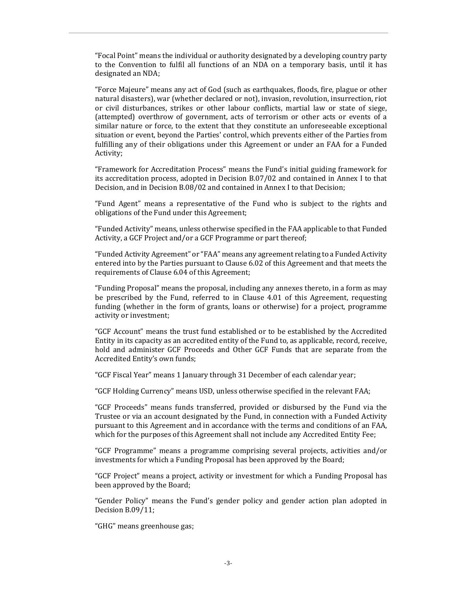"Focal Point" means the individual or authority designated by a developing country party to the Convention to fulfil all functions of an NDA on a temporary basis, until it has designated an NDA;

"Force Majeure" means any act of God (such as earthquakes, floods, fire, plague or other natural disasters), war (whether declared or not), invasion, revolution, insurrection, riot or civil disturbances, strikes or other labour conflicts, martial law or state of siege, (attempted) overthrow of government, acts of terrorism or other acts or events of a similar nature or force, to the extent that they constitute an unforeseeable exceptional situation or event, beyond the Parties' control, which prevents either of the Parties from fulfilling any of their obligations under this Agreement or under an FAA for a Funded Activity;

"Framework for Accreditation Process" means the Fund's initial guiding framework for its accreditation process, adopted in Decision B.07/02 and contained in Annex I to that Decision, and in Decision B.08/02 and contained in Annex I to that Decision;

"Fund Agent" means a representative of the Fund who is subject to the rights and obligations of the Fund under this Agreement;

"Funded Activity" means, unless otherwise specified in the FAA applicable to that Funded Activity, a GCF Project and/or a GCF Programme or part thereof;

"Funded Activity Agreement" or "FAA" means any agreement relating to a Funded Activity entered into by the Parties pursuant to Clause 6.02 of this Agreement and that meets the requirements of Clause 6.04 of this Agreement;

"Funding Proposal" means the proposal, including any annexes thereto, in a form as may be prescribed by the Fund, referred to in Clause 4.01 of this Agreement, requesting funding (whether in the form of grants, loans or otherwise) for a project, programme activity or investment;

"GCF Account" means the trust fund established or to be established by the Accredited Entity in its capacity as an accredited entity of the Fund to, as applicable, record, receive, hold and administer GCF Proceeds and Other GCF Funds that are separate from the Accredited Entity's own funds;

"GCF Fiscal Year" means 1 January through 31 December of each calendar year;

"GCF Holding Currency" means USD, unless otherwise specified in the relevant FAA;

"GCF Proceeds" means funds transferred, provided or disbursed by the Fund via the Trustee or via an account designated by the Fund, in connection with a Funded Activity pursuant to this Agreement and in accordance with the terms and conditions of an FAA, which for the purposes of this Agreement shall not include any Accredited Entity Fee;

"GCF Programme" means a programme comprising several projects, activities and/or investments for which a Funding Proposal has been approved by the Board;

"GCF Project" means a project, activity or investment for which a Funding Proposal has been approved by the Board;

"Gender Policy" means the Fund's gender policy and gender action plan adopted in Decision B.09/11;

"GHG" means greenhouse gas;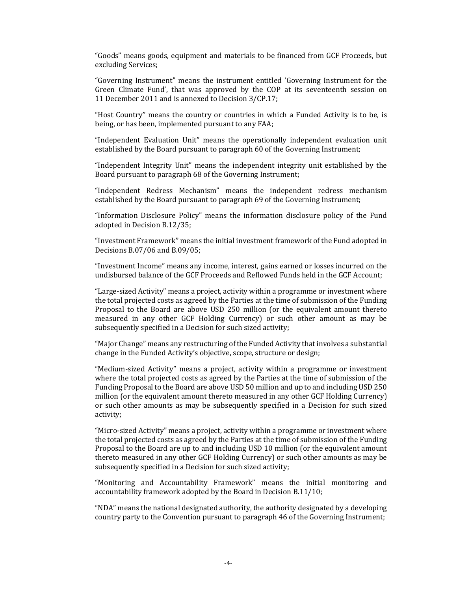"Goods" means goods, equipment and materials to be financed from GCF Proceeds, but excluding Services;

"Governing Instrument" means the instrument entitled 'Governing Instrument for the Green Climate Fund', that was approved by the COP at its seventeenth session on 11 December 2011 and is annexed to Decision 3/CP.17;

"Host Country" means the country or countries in which a Funded Activity is to be, is being, or has been, implemented pursuant to any FAA;

"Independent Evaluation Unit" means the operationally independent evaluation unit established by the Board pursuant to paragraph 60 of the Governing Instrument;

"Independent Integrity Unit" means the independent integrity unit established by the Board pursuant to paragraph 68 of the Governing Instrument;

"Independent Redress Mechanism" means the independent redress mechanism established by the Board pursuant to paragraph 69 of the Governing Instrument;

"Information Disclosure Policy" means the information disclosure policy of the Fund adopted in Decision B.12/35;

"Investment Framework" means the initial investment framework of the Fund adopted in Decisions B.07/06 and B.09/05;

"Investment Income" means any income, interest, gains earned or losses incurred on the undisbursed balance of the GCF Proceeds and Reflowed Funds held in the GCF Account;

"Large-sized Activity" means a project, activity within a programme or investment where the total projected costs as agreed by the Parties at the time of submission of the Funding Proposal to the Board are above USD 250 million (or the equivalent amount thereto measured in any other GCF Holding Currency) or such other amount as may be subsequently specified in a Decision for such sized activity;

"Major Change" means any restructuring of the Funded Activity that involves a substantial change in the Funded Activity's objective, scope, structure or design;

"Medium-sized Activity" means a project, activity within a programme or investment where the total projected costs as agreed by the Parties at the time of submission of the Funding Proposal to the Board are above USD 50 million and up to and including USD 250 million (or the equivalent amount thereto measured in any other GCF Holding Currency) or such other amounts as may be subsequently specified in a Decision for such sized activity;

"Micro-sized Activity" means a project, activity within a programme or investment where the total projected costs as agreed by the Parties at the time of submission of the Funding Proposal to the Board are up to and including USD 10 million (or the equivalent amount thereto measured in any other GCF Holding Currency) or such other amounts as may be subsequently specified in a Decision for such sized activity;

"Monitoring and Accountability Framework" means the initial monitoring and accountability framework adopted by the Board in Decision B.11/10;

"NDA" means the national designated authority, the authority designated by a developing country party to the Convention pursuant to paragraph 46 of the Governing Instrument;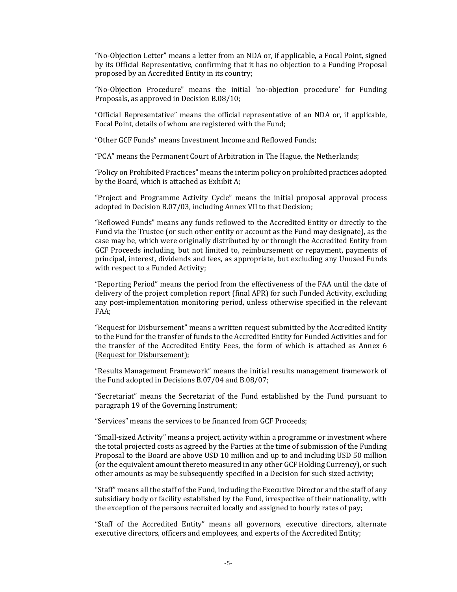"No-Objection Letter" means a letter from an NDA or, if applicable, a Focal Point, signed by its Official Representative, confirming that it has no objection to a Funding Proposal proposed by an Accredited Entity in its country;

"No-Objection Procedure" means the initial 'no-objection procedure' for Funding Proposals, as approved in Decision B.08/10;

"Official Representative" means the official representative of an NDA or, if applicable, Focal Point, details of whom are registered with the Fund;

"Other GCF Funds" means Investment Income and Reflowed Funds;

"PCA" means the Permanent Court of Arbitration in The Hague, the Netherlands;

"Policy on Prohibited Practices" means the interim policy on prohibited practices adopted by the Board, which is attached as Exhibit A;

"Project and Programme Activity Cycle" means the initial proposal approval process adopted in Decision B.07/03, including Annex VII to that Decision;

"Reflowed Funds" means any funds reflowed to the Accredited Entity or directly to the Fund via the Trustee (or such other entity or account as the Fund may designate), as the case may be, which were originally distributed by or through the Accredited Entity from GCF Proceeds including, but not limited to, reimbursement or repayment, payments of principal, interest, dividends and fees, as appropriate, but excluding any Unused Funds with respect to a Funded Activity;

"Reporting Period" means the period from the effectiveness of the FAA until the date of delivery of the project completion report (final APR) for such Funded Activity, excluding any post-implementation monitoring period, unless otherwise specified in the relevant FAA;

"Request for Disbursement" means a written request submitted by the Accredited Entity to the Fund for the transfer of funds to the Accredited Entity for Funded Activities and for the transfer of the Accredited Entity Fees, the form of which is attached as Annex 6 (Request for Disbursement);

"Results Management Framework" means the initial results management framework of the Fund adopted in Decisions B.07/04 and B.08/07;

"Secretariat" means the Secretariat of the Fund established by the Fund pursuant to paragraph 19 of the Governing Instrument;

"Services" means the services to be financed from GCF Proceeds;

"Small-sized Activity" means a project, activity within a programme or investment where the total projected costs as agreed by the Parties at the time of submission of the Funding Proposal to the Board are above USD 10 million and up to and including USD 50 million (or the equivalent amount thereto measured in any other GCF Holding Currency), or such other amounts as may be subsequently specified in a Decision for such sized activity;

"Staff" means all the staff of the Fund, including the Executive Director and the staff of any subsidiary body or facility established by the Fund, irrespective of their nationality, with the exception of the persons recruited locally and assigned to hourly rates of pay;

"Staff of the Accredited Entity" means all governors, executive directors, alternate executive directors, officers and employees, and experts of the Accredited Entity;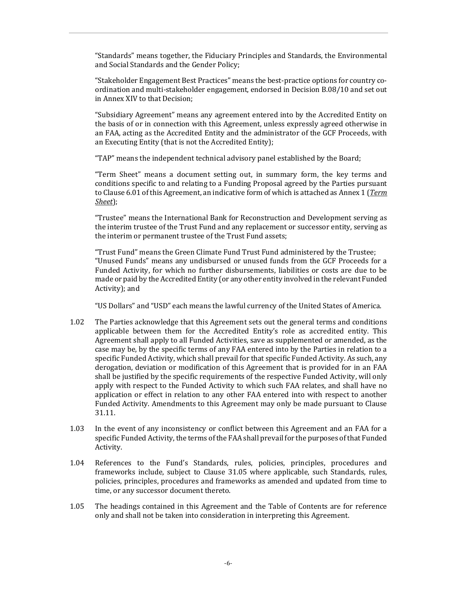"Standards" means together, the Fiduciary Principles and Standards, the Environmental and Social Standards and the Gender Policy;

"Stakeholder Engagement Best Practices" means the best-practice options for country coordination and multi-stakeholder engagement, endorsed in Decision B.08/10 and set out in Annex XIV to that Decision;

"Subsidiary Agreement" means any agreement entered into by the Accredited Entity on the basis of or in connection with this Agreement, unless expressly agreed otherwise in an FAA, acting as the Accredited Entity and the administrator of the GCF Proceeds, with an Executing Entity (that is not the Accredited Entity);

"TAP" means the independent technical advisory panel established by the Board;

"Term Sheet" means a document setting out, in summary form, the key terms and conditions specific to and relating to a Funding Proposal agreed by the Parties pursuant to Clause 6.01 of this Agreement, an indicative form of which is attached as Annex 1 (*Term Sheet*);

"Trustee" means the International Bank for Reconstruction and Development serving as the interim trustee of the Trust Fund and any replacement or successor entity, serving as the interim or permanent trustee of the Trust Fund assets;

"Trust Fund" means the Green Climate Fund Trust Fund administered by the Trustee; "Unused Funds" means any undisbursed or unused funds from the GCF Proceeds for a Funded Activity, for which no further disbursements, liabilities or costs are due to be made or paid by the Accredited Entity (or any other entity involved in the relevant Funded Activity); and

"US Dollars" and "USD" each means the lawful currency of the United States of America.

- 1.02 The Parties acknowledge that this Agreement sets out the general terms and conditions applicable between them for the Accredited Entity's role as accredited entity. This Agreement shall apply to all Funded Activities, save as supplemented or amended, as the case may be, by the specific terms of any FAA entered into by the Parties in relation to a specific Funded Activity, which shall prevail for that specific Funded Activity. As such, any derogation, deviation or modification of this Agreement that is provided for in an FAA shall be justified by the specific requirements of the respective Funded Activity, will only apply with respect to the Funded Activity to which such FAA relates, and shall have no application or effect in relation to any other FAA entered into with respect to another Funded Activity. Amendments to this Agreement may only be made pursuant to Clause 31.11.
- 1.03 In the event of any inconsistency or conflict between this Agreement and an FAA for a specific Funded Activity, the terms of the FAA shall prevail for the purposes of that Funded Activity.
- 1.04 References to the Fund's Standards, rules, policies, principles, procedures and frameworks include, subject to Clause 31.05 where applicable, such Standards, rules, policies, principles, procedures and frameworks as amended and updated from time to time, or any successor document thereto.
- 1.05 The headings contained in this Agreement and the Table of Contents are for reference only and shall not be taken into consideration in interpreting this Agreement.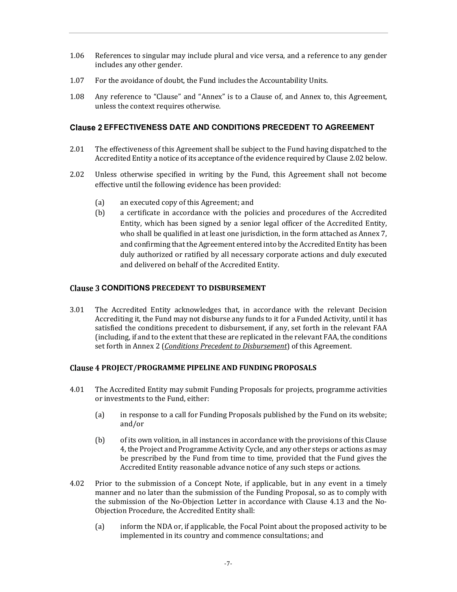- 1.06 References to singular may include plural and vice versa, and a reference to any gender includes any other gender.
- 1.07 For the avoidance of doubt, the Fund includes the Accountability Units.
- 1.08 Any reference to "Clause" and "Annex" is to a Clause of, and Annex to, this Agreement, unless the context requires otherwise.

## **Clause 2 EFFECTIVENESS DATE AND CONDITIONS PRECEDENT TO AGREEMENT**

- 2.01 The effectiveness of this Agreement shall be subject to the Fund having dispatched to the Accredited Entity a notice of its acceptance of the evidence required by Clause 2.02 below.
- 2.02 Unless otherwise specified in writing by the Fund, this Agreement shall not become effective until the following evidence has been provided:
	- (a) an executed copy of this Agreement; and
	- (b) a certificate in accordance with the policies and procedures of the Accredited Entity, which has been signed by a senior legal officer of the Accredited Entity, who shall be qualified in at least one jurisdiction, in the form attached as Annex 7, and confirming that the Agreement entered into by the Accredited Entity has been duly authorized or ratified by all necessary corporate actions and duly executed and delivered on behalf of the Accredited Entity.

### **Clause 3 CONDITIONS PRECEDENT TO DISBURSEMENT**

3.01 The Accredited Entity acknowledges that, in accordance with the relevant Decision Accrediting it, the Fund may not disburse any funds to it for a Funded Activity, until it has satisfied the conditions precedent to disbursement, if any, set forth in the relevant FAA (including, if and to the extent that these are replicated in the relevant FAA, the conditions set forth in Annex 2 (*Conditions Precedent to Disbursement*) of this Agreement.

#### **PROJECT/PROGRAMME PIPELINE AND FUNDING PROPOSALS**

- 4.01 The Accredited Entity may submit Funding Proposals for projects, programme activities or investments to the Fund, either:
	- (a) in response to a call for Funding Proposals published by the Fund on its website; and/or
	- (b) of its own volition, in all instances in accordance with the provisions of this Clause 4, the Project and Programme Activity Cycle, and any other steps or actions as may be prescribed by the Fund from time to time, provided that the Fund gives the Accredited Entity reasonable advance notice of any such steps or actions.
- 4.02 Prior to the submission of a Concept Note, if applicable, but in any event in a timely manner and no later than the submission of the Funding Proposal, so as to comply with the submission of the No-Objection Letter in accordance with Clause 4.13 and the No-Objection Procedure, the Accredited Entity shall:
	- (a) inform the NDA or, if applicable, the Focal Point about the proposed activity to be implemented in its country and commence consultations; and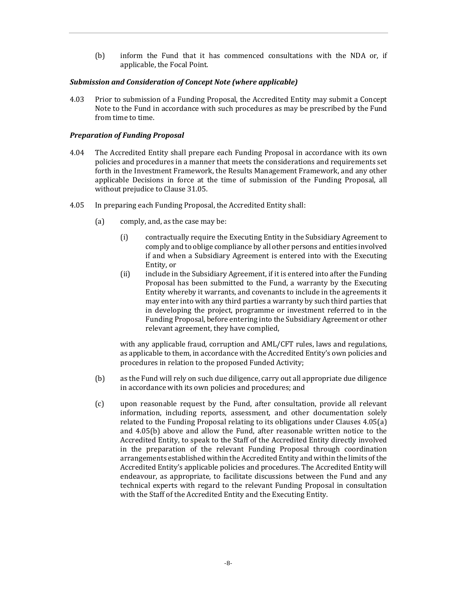(b) inform the Fund that it has commenced consultations with the NDA or, if applicable, the Focal Point.

## *Submission and Consideration of Concept Note (where applicable)*

4.03 Prior to submission of a Funding Proposal, the Accredited Entity may submit a Concept Note to the Fund in accordance with such procedures as may be prescribed by the Fund from time to time.

### *Preparation of Funding Proposal*

- 4.04 The Accredited Entity shall prepare each Funding Proposal in accordance with its own policies and procedures in a manner that meets the considerations and requirements set forth in the Investment Framework, the Results Management Framework, and any other applicable Decisions in force at the time of submission of the Funding Proposal, all without prejudice to Clause 31.05.
- 4.05 In preparing each Funding Proposal, the Accredited Entity shall:
	- (a) comply, and, as the case may be:
		- (i) contractually require the Executing Entity in the Subsidiary Agreement to comply and to oblige compliance by all other persons and entities involved if and when a Subsidiary Agreement is entered into with the Executing Entity, or
		- (ii) include in the Subsidiary Agreement, if it is entered into after the Funding Proposal has been submitted to the Fund, a warranty by the Executing Entity whereby it warrants, and covenants to include in the agreements it may enter into with any third parties a warranty by such third parties that in developing the project, programme or investment referred to in the Funding Proposal, before entering into the Subsidiary Agreement or other relevant agreement, they have complied,

with any applicable fraud, corruption and AML/CFT rules, laws and regulations, as applicable to them, in accordance with the Accredited Entity's own policies and procedures in relation to the proposed Funded Activity;

- (b) as the Fund will rely on such due diligence, carry out all appropriate due diligence in accordance with its own policies and procedures; and
- (c) upon reasonable request by the Fund, after consultation, provide all relevant information, including reports, assessment, and other documentation solely related to the Funding Proposal relating to its obligations under Clauses 4.05(a) and 4.05(b) above and allow the Fund, after reasonable written notice to the Accredited Entity, to speak to the Staff of the Accredited Entity directly involved in the preparation of the relevant Funding Proposal through coordination arrangements established within the Accredited Entity and within the limits of the Accredited Entity's applicable policies and procedures. The Accredited Entity will endeavour, as appropriate, to facilitate discussions between the Fund and any technical experts with regard to the relevant Funding Proposal in consultation with the Staff of the Accredited Entity and the Executing Entity.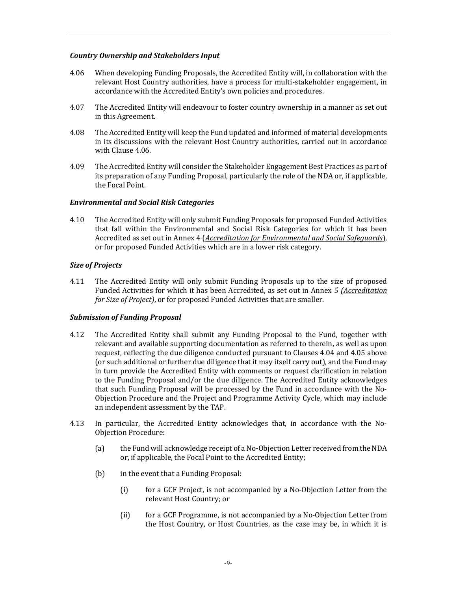# *Country Ownership and Stakeholders Input*

- 4.06 When developing Funding Proposals, the Accredited Entity will, in collaboration with the relevant Host Country authorities, have a process for multi-stakeholder engagement, in accordance with the Accredited Entity's own policies and procedures.
- 4.07 The Accredited Entity will endeavour to foster country ownership in a manner as set out in this Agreement.
- 4.08 The Accredited Entity will keep the Fund updated and informed of material developments in its discussions with the relevant Host Country authorities, carried out in accordance with Clause 4.06.
- 4.09 The Accredited Entity will consider the Stakeholder Engagement Best Practices as part of its preparation of any Funding Proposal, particularly the role of the NDA or, if applicable, the Focal Point.

### *Environmental and Social Risk Categories*

4.10 The Accredited Entity will only submit Funding Proposals for proposed Funded Activities that fall within the Environmental and Social Risk Categories for which it has been Accredited as set out in Annex 4 (*Accreditation for Environmental and Social Safeguards*), or for proposed Funded Activities which are in a lower risk category.

### *Size of Projects*

4.11 The Accredited Entity will only submit Funding Proposals up to the size of proposed Funded Activities for which it has been Accredited, as set out in Annex 5 *(Accreditation for Size of Project)*, or for proposed Funded Activities that are smaller.

# *Submission of Funding Proposal*

- 4.12 The Accredited Entity shall submit any Funding Proposal to the Fund, together with relevant and available supporting documentation as referred to therein, as well as upon request, reflecting the due diligence conducted pursuant to Clauses 4.04 and 4.05 above (or such additional or further due diligence that it may itself carry out), and the Fund may in turn provide the Accredited Entity with comments or request clarification in relation to the Funding Proposal and/or the due diligence. The Accredited Entity acknowledges that such Funding Proposal will be processed by the Fund in accordance with the No-Objection Procedure and the Project and Programme Activity Cycle, which may include an independent assessment by the TAP.
- 4.13 In particular, the Accredited Entity acknowledges that, in accordance with the No-Objection Procedure:
	- (a) the Fund will acknowledge receipt of a No-Objection Letter received from the NDA or, if applicable, the Focal Point to the Accredited Entity;
	- (b) in the event that a Funding Proposal:
		- (i) for a GCF Project, is not accompanied by a No-Objection Letter from the relevant Host Country; or
		- (ii) for a GCF Programme, is not accompanied by a No-Objection Letter from the Host Country, or Host Countries, as the case may be, in which it is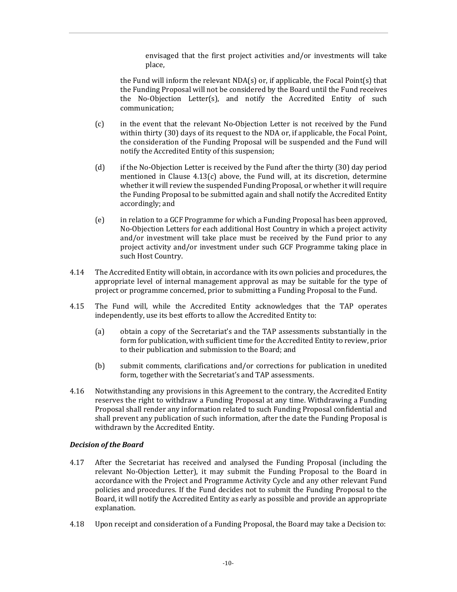envisaged that the first project activities and/or investments will take place,

the Fund will inform the relevant  $NDA(s)$  or, if applicable, the Focal Point(s) that the Funding Proposal will not be considered by the Board until the Fund receives the No-Objection Letter(s), and notify the Accredited Entity of such communication;

- (c) in the event that the relevant No-Objection Letter is not received by the Fund within thirty (30) days of its request to the NDA or, if applicable, the Focal Point, the consideration of the Funding Proposal will be suspended and the Fund will notify the Accredited Entity of this suspension;
- (d) if the No-Objection Letter is received by the Fund after the thirty (30) day period mentioned in Clause 4.13(c) above, the Fund will, at its discretion, determine whether it will review the suspended Funding Proposal, or whether it will require the Funding Proposal to be submitted again and shall notify the Accredited Entity accordingly; and
- (e) in relation to a GCF Programme for which a Funding Proposal has been approved, No-Objection Letters for each additional Host Country in which a project activity and/or investment will take place must be received by the Fund prior to any project activity and/or investment under such GCF Programme taking place in such Host Country.
- 4.14 The Accredited Entity will obtain, in accordance with its own policies and procedures, the appropriate level of internal management approval as may be suitable for the type of project or programme concerned, prior to submitting a Funding Proposal to the Fund.
- 4.15 The Fund will, while the Accredited Entity acknowledges that the TAP operates independently, use its best efforts to allow the Accredited Entity to:
	- (a) obtain a copy of the Secretariat's and the TAP assessments substantially in the form for publication, with sufficient time for the Accredited Entity to review, prior to their publication and submission to the Board; and
	- (b) submit comments, clarifications and/or corrections for publication in unedited form, together with the Secretariat's and TAP assessments.
- 4.16 Notwithstanding any provisions in this Agreement to the contrary, the Accredited Entity reserves the right to withdraw a Funding Proposal at any time. Withdrawing a Funding Proposal shall render any information related to such Funding Proposal confidential and shall prevent any publication of such information, after the date the Funding Proposal is withdrawn by the Accredited Entity.

# *Decision of the Board*

- 4.17 After the Secretariat has received and analysed the Funding Proposal (including the relevant No-Objection Letter), it may submit the Funding Proposal to the Board in accordance with the Project and Programme Activity Cycle and any other relevant Fund policies and procedures. If the Fund decides not to submit the Funding Proposal to the Board, it will notify the Accredited Entity as early as possible and provide an appropriate explanation.
- 4.18 Upon receipt and consideration of a Funding Proposal, the Board may take a Decision to: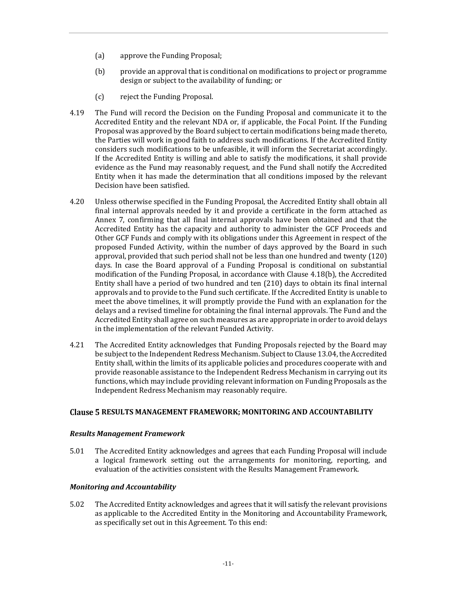- (a) approve the Funding Proposal;
- (b) provide an approval that is conditional on modifications to project or programme design or subject to the availability of funding; or
- (c) reject the Funding Proposal.
- 4.19 The Fund will record the Decision on the Funding Proposal and communicate it to the Accredited Entity and the relevant NDA or, if applicable, the Focal Point. If the Funding Proposal was approved by the Board subject to certain modifications being made thereto, the Parties will work in good faith to address such modifications. If the Accredited Entity considers such modifications to be unfeasible, it will inform the Secretariat accordingly. If the Accredited Entity is willing and able to satisfy the modifications, it shall provide evidence as the Fund may reasonably request, and the Fund shall notify the Accredited Entity when it has made the determination that all conditions imposed by the relevant Decision have been satisfied.
- 4.20 Unless otherwise specified in the Funding Proposal, the Accredited Entity shall obtain all final internal approvals needed by it and provide a certificate in the form attached as Annex 7, confirming that all final internal approvals have been obtained and that the Accredited Entity has the capacity and authority to administer the GCF Proceeds and Other GCF Funds and comply with its obligations under this Agreement in respect of the proposed Funded Activity, within the number of days approved by the Board in such approval, provided that such period shall not be less than one hundred and twenty (120) days. In case the Board approval of a Funding Proposal is conditional on substantial modification of the Funding Proposal, in accordance with Clause 4.18(b), the Accredited Entity shall have a period of two hundred and ten (210) days to obtain its final internal approvals and to provide to the Fund such certificate. If the Accredited Entity is unable to meet the above timelines, it will promptly provide the Fund with an explanation for the delays and a revised timeline for obtaining the final internal approvals. The Fund and the Accredited Entity shall agree on such measures as are appropriate in order to avoid delays in the implementation of the relevant Funded Activity.
- 4.21 The Accredited Entity acknowledges that Funding Proposals rejected by the Board may be subject to the Independent Redress Mechanism. Subject to Clause 13.04, the Accredited Entity shall, within the limits of its applicable policies and procedures cooperate with and provide reasonable assistance to the Independent Redress Mechanism in carrying out its functions, which may include providing relevant information on Funding Proposals as the Independent Redress Mechanism may reasonably require.

#### **RESULTS MANAGEMENT FRAMEWORK; MONITORING AND ACCOUNTABILITY**

#### *Results Management Framework*

5.01 The Accredited Entity acknowledges and agrees that each Funding Proposal will include a logical framework setting out the arrangements for monitoring, reporting, and evaluation of the activities consistent with the Results Management Framework.

#### *Monitoring and Accountability*

5.02 The Accredited Entity acknowledges and agrees that it will satisfy the relevant provisions as applicable to the Accredited Entity in the Monitoring and Accountability Framework, as specifically set out in this Agreement. To this end: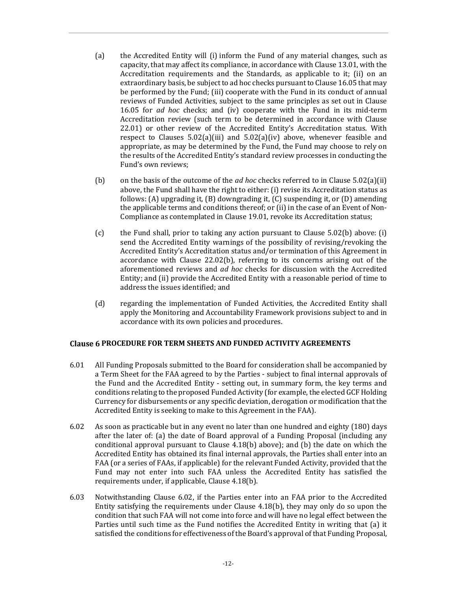- (a) the Accredited Entity will (i) inform the Fund of any material changes, such as capacity, that may affect its compliance, in accordance with Clause 13.01, with the Accreditation requirements and the Standards, as applicable to it; (ii) on an extraordinary basis, be subject to ad hoc checks pursuant to Clause 16.05 that may be performed by the Fund; (iii) cooperate with the Fund in its conduct of annual reviews of Funded Activities, subject to the same principles as set out in Clause 16.05 for *ad hoc* checks; and (iv) cooperate with the Fund in its mid-term Accreditation review (such term to be determined in accordance with Clause 22.01) or other review of the Accredited Entity's Accreditation status. With respect to Clauses  $5.02(a)(iii)$  and  $5.02(a)(iv)$  above, whenever feasible and appropriate, as may be determined by the Fund, the Fund may choose to rely on the results of the Accredited Entity's standard review processes in conducting the Fund's own reviews;
- (b) on the basis of the outcome of the *ad hoc* checks referred to in Clause 5.02(a)(ii) above, the Fund shall have the right to either: (i) revise its Accreditation status as follows: (A) upgrading it, (B) downgrading it, (C) suspending it, or (D) amending the applicable terms and conditions thereof; or (ii) in the case of an Event of Non-Compliance as contemplated in Clause 19.01, revoke its Accreditation status;
- (c) the Fund shall, prior to taking any action pursuant to Clause 5.02(b) above: (i) send the Accredited Entity warnings of the possibility of revising/revoking the Accredited Entity's Accreditation status and/or termination of this Agreement in accordance with Clause 22.02(b), referring to its concerns arising out of the aforementioned reviews and *ad hoc* checks for discussion with the Accredited Entity; and (ii) provide the Accredited Entity with a reasonable period of time to address the issues identified; and
- (d) regarding the implementation of Funded Activities, the Accredited Entity shall apply the Monitoring and Accountability Framework provisions subject to and in accordance with its own policies and procedures.

# **Clause 6 PROCEDURE FOR TERM SHEETS AND FUNDED ACTIVITY AGREEMENTS**

- 6.01 All Funding Proposals submitted to the Board for consideration shall be accompanied by a Term Sheet for the FAA agreed to by the Parties - subject to final internal approvals of the Fund and the Accredited Entity - setting out, in summary form, the key terms and conditions relating to the proposed Funded Activity (for example, the elected GCF Holding Currency for disbursements or any specific deviation, derogation or modification that the Accredited Entity is seeking to make to this Agreement in the FAA).
- 6.02 As soon as practicable but in any event no later than one hundred and eighty (180) days after the later of: (a) the date of Board approval of a Funding Proposal (including any conditional approval pursuant to Clause 4.18(b) above); and (b) the date on which the Accredited Entity has obtained its final internal approvals, the Parties shall enter into an FAA (or a series of FAAs, if applicable) for the relevant Funded Activity, provided that the Fund may not enter into such FAA unless the Accredited Entity has satisfied the requirements under, if applicable, Clause 4.18(b).
- 6.03 Notwithstanding Clause 6.02, if the Parties enter into an FAA prior to the Accredited Entity satisfying the requirements under Clause 4.18(b), they may only do so upon the condition that such FAA will not come into force and will have no legal effect between the Parties until such time as the Fund notifies the Accredited Entity in writing that (a) it satisfied the conditions for effectiveness of the Board's approval of that Funding Proposal,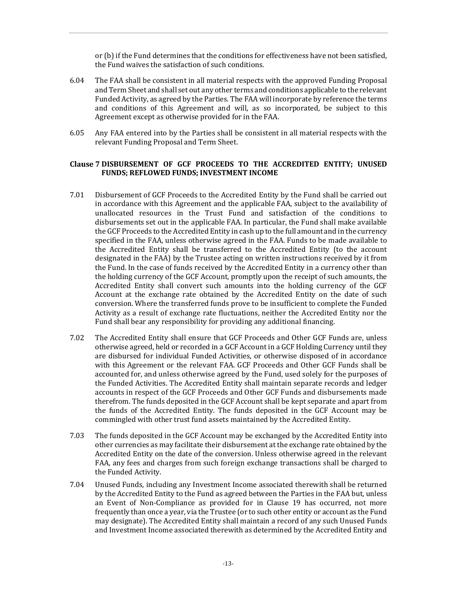or (b) if the Fund determines that the conditions for effectiveness have not been satisfied, the Fund waives the satisfaction of such conditions.

- 6.04 The FAA shall be consistent in all material respects with the approved Funding Proposal and Term Sheet and shall set out any other terms and conditions applicable to the relevant Funded Activity, as agreed by the Parties. The FAA will incorporate by reference the terms and conditions of this Agreement and will, as so incorporated, be subject to this Agreement except as otherwise provided for in the FAA.
- 6.05 Any FAA entered into by the Parties shall be consistent in all material respects with the relevant Funding Proposal and Term Sheet.

### **DISBURSEMENT OF GCF PROCEEDS TO THE ACCREDITED ENTITY; UNUSED FUNDS; REFLOWED FUNDS; INVESTMENT INCOME**

- 7.01 Disbursement of GCF Proceeds to the Accredited Entity by the Fund shall be carried out in accordance with this Agreement and the applicable FAA, subject to the availability of unallocated resources in the Trust Fund and satisfaction of the conditions to disbursements set out in the applicable FAA. In particular, the Fund shall make available the GCF Proceeds to the Accredited Entity in cash up to the full amount and in the currency specified in the FAA, unless otherwise agreed in the FAA. Funds to be made available to the Accredited Entity shall be transferred to the Accredited Entity (to the account designated in the FAA) by the Trustee acting on written instructions received by it from the Fund. In the case of funds received by the Accredited Entity in a currency other than the holding currency of the GCF Account, promptly upon the receipt of such amounts, the Accredited Entity shall convert such amounts into the holding currency of the GCF Account at the exchange rate obtained by the Accredited Entity on the date of such conversion. Where the transferred funds prove to be insufficient to complete the Funded Activity as a result of exchange rate fluctuations, neither the Accredited Entity nor the Fund shall bear any responsibility for providing any additional financing.
- 7.02 The Accredited Entity shall ensure that GCF Proceeds and Other GCF Funds are, unless otherwise agreed, held or recorded in a GCF Account in a GCF Holding Currency until they are disbursed for individual Funded Activities, or otherwise disposed of in accordance with this Agreement or the relevant FAA. GCF Proceeds and Other GCF Funds shall be accounted for, and unless otherwise agreed by the Fund, used solely for the purposes of the Funded Activities. The Accredited Entity shall maintain separate records and ledger accounts in respect of the GCF Proceeds and Other GCF Funds and disbursements made therefrom. The funds deposited in the GCF Account shall be kept separate and apart from the funds of the Accredited Entity. The funds deposited in the GCF Account may be commingled with other trust fund assets maintained by the Accredited Entity.
- 7.03 The funds deposited in the GCF Account may be exchanged by the Accredited Entity into other currencies as may facilitate their disbursement at the exchange rate obtained by the Accredited Entity on the date of the conversion. Unless otherwise agreed in the relevant FAA, any fees and charges from such foreign exchange transactions shall be charged to the Funded Activity.
- 7.04 Unused Funds, including any Investment Income associated therewith shall be returned by the Accredited Entity to the Fund as agreed between the Parties in the FAA but, unless an Event of Non-Compliance as provided for in Clause 19 has occurred, not more frequently than once a year, via the Trustee (or to such other entity or account as the Fund may designate). The Accredited Entity shall maintain a record of any such Unused Funds and Investment Income associated therewith as determined by the Accredited Entity and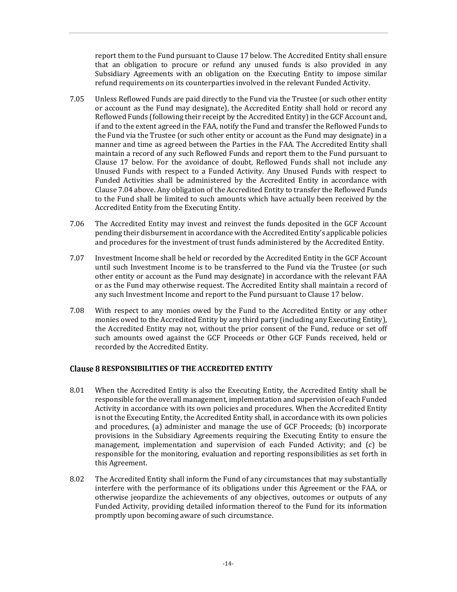report them to the Fund pursuant to Clause 17 below. The Accredited Entity shall ensure that an obligation to procure or refund any unused funds is also provided in any Subsidiary Agreements with an obligation on the Executing Entity to impose similar refund requirements on its counterparties involved in the relevant Funded Activity.

- 7.05 Unless Reflowed Funds are paid directly to the Fund via the Trustee (or such other entity or account as the Fund may designate), the Accredited Entity shall hold or record any Reflowed Funds (following their receipt by the Accredited Entity) in the GCF Account and, if and to the extent agreed in the FAA, notify the Fund and transfer the Reflowed Funds to the Fund via the Trustee (or such other entity or account as the Fund may designate) in a manner and time as agreed between the Parties in the FAA. The Accredited Entity shall maintain a record of any such Reflowed Funds and report them to the Fund pursuant to Clause 17 below. For the avoidance of doubt, Reflowed Funds shall not include any Unused Funds with respect to a Funded Activity. Any Unused Funds with respect to Funded Activities shall be administered by the Accredited Entity in accordance with Clause 7.04 above. Any obligation of the Accredited Entity to transfer the Reflowed Funds to the Fund shall be limited to such amounts which have actually been received by the Accredited Entity from the Executing Entity.
- 7.06 The Accredited Entity may invest and reinvest the funds deposited in the GCF Account pending their disbursement in accordance with the Accredited Entity's applicable policies and procedures for the investment of trust funds administered by the Accredited Entity.
- 7.07 Investment Income shall be held or recorded by the Accredited Entity in the GCF Account until such Investment Income is to be transferred to the Fund via the Trustee (or such other entity or account as the Fund may designate) in accordance with the relevant FAA or as the Fund may otherwise request. The Accredited Entity shall maintain a record of any such Investment Income and report to the Fund pursuant to Clause 17 below.
- 7.08 With respect to any monies owed by the Fund to the Accredited Entity or any other monies owed to the Accredited Entity by any third party (including any Executing Entity), the Accredited Entity may not, without the prior consent of the Fund, reduce or set off such amounts owed against the GCF Proceeds or Other GCF Funds received, held or recorded by the Accredited Entity.

# **RESPONSIBILITIES OF THE ACCREDITED ENTITY**

- 8.01 When the Accredited Entity is also the Executing Entity, the Accredited Entity shall be responsible for the overall management, implementation and supervision of each Funded Activity in accordance with its own policies and procedures. When the Accredited Entity is not the Executing Entity, the Accredited Entity shall, in accordance with its own policies and procedures, (a) administer and manage the use of GCF Proceeds; (b) incorporate provisions in the Subsidiary Agreements requiring the Executing Entity to ensure the management, implementation and supervision of each Funded Activity; and (c) be responsible for the monitoring, evaluation and reporting responsibilities as set forth in this Agreement.
- 8.02 The Accredited Entity shall inform the Fund of any circumstances that may substantially interfere with the performance of its obligations under this Agreement or the FAA, or otherwise jeopardize the achievements of any objectives, outcomes or outputs of any Funded Activity, providing detailed information thereof to the Fund for its information promptly upon becoming aware of such circumstance.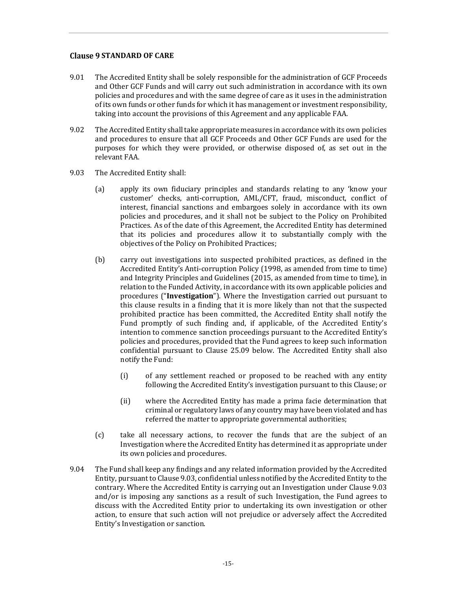# **Clause 9 STANDARD OF CARE**

- 9.01 The Accredited Entity shall be solely responsible for the administration of GCF Proceeds and Other GCF Funds and will carry out such administration in accordance with its own policies and procedures and with the same degree of care as it uses in the administration of its own funds or other funds for which it has management or investment responsibility, taking into account the provisions of this Agreement and any applicable FAA.
- 9.02 The Accredited Entity shall take appropriate measures in accordance with its own policies and procedures to ensure that all GCF Proceeds and Other GCF Funds are used for the purposes for which they were provided, or otherwise disposed of, as set out in the relevant FAA.
- 9.03 The Accredited Entity shall:
	- (a) apply its own fiduciary principles and standards relating to any 'know your customer' checks, anti-corruption, AML/CFT, fraud, misconduct, conflict of interest, financial sanctions and embargoes solely in accordance with its own policies and procedures, and it shall not be subject to the Policy on Prohibited Practices. As of the date of this Agreement, the Accredited Entity has determined that its policies and procedures allow it to substantially comply with the objectives of the Policy on Prohibited Practices;
	- (b) carry out investigations into suspected prohibited practices, as defined in the Accredited Entity's Anti-corruption Policy (1998, as amended from time to time) and Integrity Principles and Guidelines (2015, as amended from time to time), in relation to the Funded Activity, in accordance with its own applicable policies and procedures ("**Investigation**"). Where the Investigation carried out pursuant to this clause results in a finding that it is more likely than not that the suspected prohibited practice has been committed, the Accredited Entity shall notify the Fund promptly of such finding and, if applicable, of the Accredited Entity's intention to commence sanction proceedings pursuant to the Accredited Entity's policies and procedures, provided that the Fund agrees to keep such information confidential pursuant to Clause 25.09 below. The Accredited Entity shall also notify the Fund:
		- (i) of any settlement reached or proposed to be reached with any entity following the Accredited Entity's investigation pursuant to this Clause; or
		- (ii) where the Accredited Entity has made a prima facie determination that criminal or regulatory laws of any country may have been violated and has referred the matter to appropriate governmental authorities;
	- (c) take all necessary actions, to recover the funds that are the subject of an Investigation where the Accredited Entity has determined it as appropriate under its own policies and procedures.
- 9.04 The Fund shall keep any findings and any related information provided by the Accredited Entity, pursuant to Clause 9.03, confidential unless notified by the Accredited Entity to the contrary. Where the Accredited Entity is carrying out an Investigation under Clause 9.03 and/or is imposing any sanctions as a result of such Investigation, the Fund agrees to discuss with the Accredited Entity prior to undertaking its own investigation or other action, to ensure that such action will not prejudice or adversely affect the Accredited Entity's Investigation or sanction.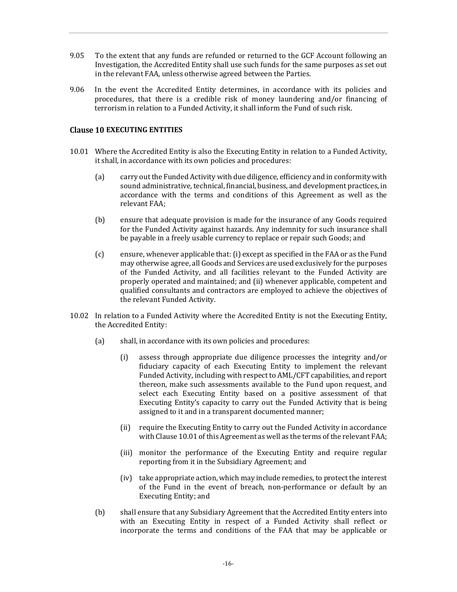- 9.05 To the extent that any funds are refunded or returned to the GCF Account following an Investigation, the Accredited Entity shall use such funds for the same purposes as set out in the relevant FAA, unless otherwise agreed between the Parties.
- 9.06 In the event the Accredited Entity determines, in accordance with its policies and procedures, that there is a credible risk of money laundering and/or financing of terrorism in relation to a Funded Activity, it shall inform the Fund of such risk.

## **Clause 10 EXECUTING ENTITIES**

- 10.01 Where the Accredited Entity is also the Executing Entity in relation to a Funded Activity, it shall, in accordance with its own policies and procedures:
	- (a) carry out the Funded Activity with due diligence, efficiency and in conformity with sound administrative, technical, financial, business, and development practices, in accordance with the terms and conditions of this Agreement as well as the relevant FAA;
	- (b) ensure that adequate provision is made for the insurance of any Goods required for the Funded Activity against hazards. Any indemnity for such insurance shall be payable in a freely usable currency to replace or repair such Goods; and
	- (c) ensure, whenever applicable that: (i) except as specified in the FAA or as the Fund may otherwise agree, all Goods and Services are used exclusively for the purposes of the Funded Activity, and all facilities relevant to the Funded Activity are properly operated and maintained; and (ii) whenever applicable, competent and qualified consultants and contractors are employed to achieve the objectives of the relevant Funded Activity.
- 10.02 In relation to a Funded Activity where the Accredited Entity is not the Executing Entity, the Accredited Entity:
	- (a) shall, in accordance with its own policies and procedures:
		- (i) assess through appropriate due diligence processes the integrity and/or fiduciary capacity of each Executing Entity to implement the relevant Funded Activity, including with respect to AML/CFT capabilities, and report thereon, make such assessments available to the Fund upon request, and select each Executing Entity based on a positive assessment of that Executing Entity's capacity to carry out the Funded Activity that is being assigned to it and in a transparent documented manner;
		- (ii) require the Executing Entity to carry out the Funded Activity in accordance with Clause 10.01 of this Agreement as well as the terms of the relevant FAA;
		- (iii) monitor the performance of the Executing Entity and require regular reporting from it in the Subsidiary Agreement; and
		- (iv) take appropriate action, which may include remedies, to protect the interest of the Fund in the event of breach, non-performance or default by an Executing Entity; and
	- (b) shall ensure that any Subsidiary Agreement that the Accredited Entity enters into with an Executing Entity in respect of a Funded Activity shall reflect or incorporate the terms and conditions of the FAA that may be applicable or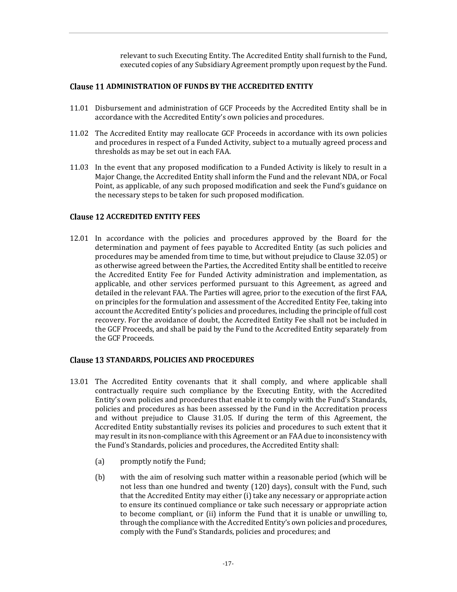relevant to such Executing Entity. The Accredited Entity shall furnish to the Fund, executed copies of any Subsidiary Agreement promptly upon request by the Fund.

# **Clause 11 ADMINISTRATION OF FUNDS BY THE ACCREDITED ENTITY**

- 11.01 Disbursement and administration of GCF Proceeds by the Accredited Entity shall be in accordance with the Accredited Entity's own policies and procedures.
- 11.02 The Accredited Entity may reallocate GCF Proceeds in accordance with its own policies and procedures in respect of a Funded Activity, subject to a mutually agreed process and thresholds as may be set out in each FAA.
- 11.03 In the event that any proposed modification to a Funded Activity is likely to result in a Major Change, the Accredited Entity shall inform the Fund and the relevant NDA, or Focal Point, as applicable, of any such proposed modification and seek the Fund's guidance on the necessary steps to be taken for such proposed modification.

### **Clause 12 ACCREDITED ENTITY FEES**

12.01 In accordance with the policies and procedures approved by the Board for the determination and payment of fees payable to Accredited Entity (as such policies and procedures may be amended from time to time, but without prejudice to Clause 32.05) or as otherwise agreed between the Parties, the Accredited Entity shall be entitled to receive the Accredited Entity Fee for Funded Activity administration and implementation, as applicable, and other services performed pursuant to this Agreement, as agreed and detailed in the relevant FAA. The Parties will agree, prior to the execution of the first FAA, on principles for the formulation and assessment of the Accredited Entity Fee, taking into account the Accredited Entity's policies and procedures, including the principle of full cost recovery. For the avoidance of doubt, the Accredited Entity Fee shall not be included in the GCF Proceeds, and shall be paid by the Fund to the Accredited Entity separately from the GCF Proceeds.

#### **Clause 13 STANDARDS, POLICIES AND PROCEDURES**

- 13.01 The Accredited Entity covenants that it shall comply, and where applicable shall contractually require such compliance by the Executing Entity, with the Accredited Entity's own policies and procedures that enable it to comply with the Fund's Standards, policies and procedures as has been assessed by the Fund in the Accreditation process and without prejudice to Clause 31.05. If during the term of this Agreement, the Accredited Entity substantially revises its policies and procedures to such extent that it may result in its non-compliance with this Agreement or an FAA due to inconsistency with the Fund's Standards, policies and procedures, the Accredited Entity shall:
	- (a) promptly notify the Fund;
	- (b) with the aim of resolving such matter within a reasonable period (which will be not less than one hundred and twenty (120) days), consult with the Fund, such that the Accredited Entity may either (i) take any necessary or appropriate action to ensure its continued compliance or take such necessary or appropriate action to become compliant, or (ii) inform the Fund that it is unable or unwilling to, through the compliance with the Accredited Entity's own policies and procedures, comply with the Fund's Standards, policies and procedures; and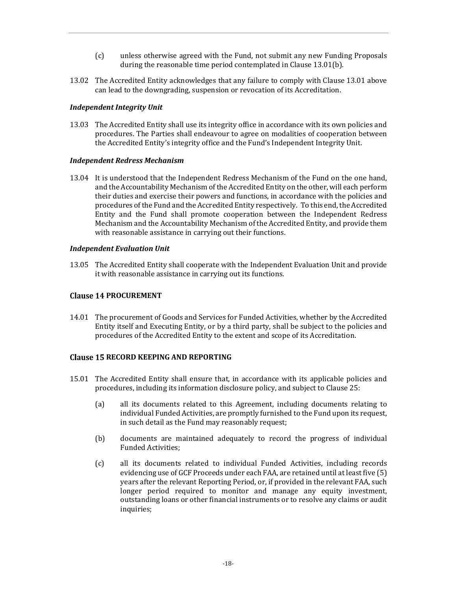- (c) unless otherwise agreed with the Fund, not submit any new Funding Proposals during the reasonable time period contemplated in Clause 13.01(b).
- 13.02 The Accredited Entity acknowledges that any failure to comply with Clause 13.01 above can lead to the downgrading, suspension or revocation of its Accreditation.

## *Independent Integrity Unit*

13.03 The Accredited Entity shall use its integrity office in accordance with its own policies and procedures. The Parties shall endeavour to agree on modalities of cooperation between the Accredited Entity's integrity office and the Fund's Independent Integrity Unit.

### *Independent Redress Mechanism*

13.04 It is understood that the Independent Redress Mechanism of the Fund on the one hand, and the Accountability Mechanism of the Accredited Entity on the other, will each perform their duties and exercise their powers and functions, in accordance with the policies and procedures of the Fund and the Accredited Entity respectively. To this end, the Accredited Entity and the Fund shall promote cooperation between the Independent Redress Mechanism and the Accountability Mechanism of the Accredited Entity, and provide them with reasonable assistance in carrying out their functions.

#### *Independent Evaluation Unit*

13.05 The Accredited Entity shall cooperate with the Independent Evaluation Unit and provide it with reasonable assistance in carrying out its functions.

## **Clause 14 PROCUREMENT**

14.01 The procurement of Goods and Services for Funded Activities, whether by the Accredited Entity itself and Executing Entity, or by a third party, shall be subject to the policies and procedures of the Accredited Entity to the extent and scope of its Accreditation.

# **Clause 15 RECORD KEEPING AND REPORTING**

- 15.01 The Accredited Entity shall ensure that, in accordance with its applicable policies and procedures, including its information disclosure policy, and subject to Clause 25:
	- (a) all its documents related to this Agreement, including documents relating to individual Funded Activities, are promptly furnished to the Fund upon its request, in such detail as the Fund may reasonably request;
	- (b) documents are maintained adequately to record the progress of individual Funded Activities;
	- (c) all its documents related to individual Funded Activities, including records evidencing use of GCF Proceeds under each FAA, are retained until at least five (5) years after the relevant Reporting Period, or, if provided in the relevant FAA, such longer period required to monitor and manage any equity investment, outstanding loans or other financial instruments or to resolve any claims or audit inquiries;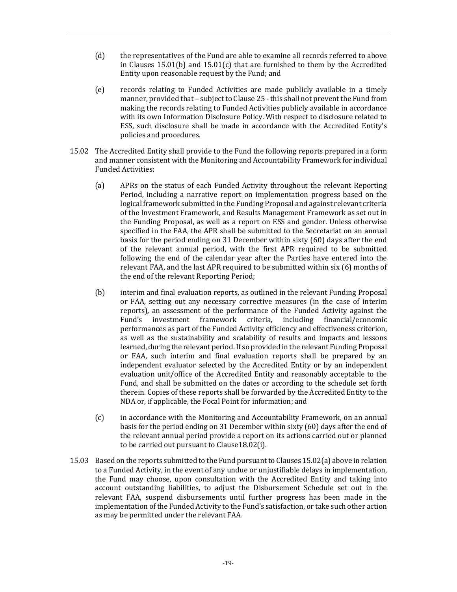- (d) the representatives of the Fund are able to examine all records referred to above in Clauses 15.01(b) and 15.01(c) that are furnished to them by the Accredited Entity upon reasonable request by the Fund; and
- (e) records relating to Funded Activities are made publicly available in a timely manner, provided that – subject to Clause 25 - this shall not prevent the Fund from making the records relating to Funded Activities publicly available in accordance with its own Information Disclosure Policy. With respect to disclosure related to ESS, such disclosure shall be made in accordance with the Accredited Entity's policies and procedures.
- 15.02 The Accredited Entity shall provide to the Fund the following reports prepared in a form and manner consistent with the Monitoring and Accountability Framework for individual Funded Activities:
	- (a) APRs on the status of each Funded Activity throughout the relevant Reporting Period, including a narrative report on implementation progress based on the logical framework submitted in the Funding Proposal and against relevant criteria of the Investment Framework, and Results Management Framework as set out in the Funding Proposal, as well as a report on ESS and gender. Unless otherwise specified in the FAA, the APR shall be submitted to the Secretariat on an annual basis for the period ending on 31 December within sixty (60) days after the end of the relevant annual period, with the first APR required to be submitted following the end of the calendar year after the Parties have entered into the relevant FAA, and the last APR required to be submitted within six (6) months of the end of the relevant Reporting Period;
	- (b) interim and final evaluation reports, as outlined in the relevant Funding Proposal or FAA, setting out any necessary corrective measures (in the case of interim reports), an assessment of the performance of the Funded Activity against the Fund's investment framework criteria, including financial/economic performances as part of the Funded Activity efficiency and effectiveness criterion, as well as the sustainability and scalability of results and impacts and lessons learned, during the relevant period. If so provided in the relevant Funding Proposal or FAA, such interim and final evaluation reports shall be prepared by an independent evaluator selected by the Accredited Entity or by an independent evaluation unit/office of the Accredited Entity and reasonably acceptable to the Fund, and shall be submitted on the dates or according to the schedule set forth therein. Copies of these reports shall be forwarded by the Accredited Entity to the NDA or, if applicable, the Focal Point for information; and
	- (c) in accordance with the Monitoring and Accountability Framework, on an annual basis for the period ending on 31 December within sixty (60) days after the end of the relevant annual period provide a report on its actions carried out or planned to be carried out pursuant to Clause18.02(i).
- 15.03 Based on the reports submitted to the Fund pursuant to Clauses 15.02(a) above in relation to a Funded Activity, in the event of any undue or unjustifiable delays in implementation, the Fund may choose, upon consultation with the Accredited Entity and taking into account outstanding liabilities, to adjust the Disbursement Schedule set out in the relevant FAA, suspend disbursements until further progress has been made in the implementation of the Funded Activity to the Fund's satisfaction, or take such other action as may be permitted under the relevant FAA.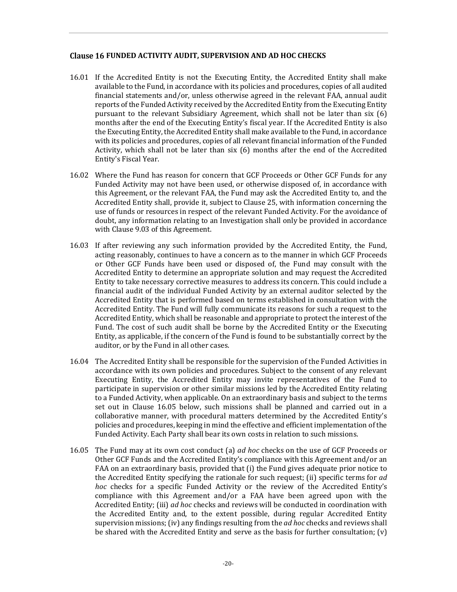## **FUNDED ACTIVITY AUDIT, SUPERVISION AND AD HOC CHECKS**

- 16.01 If the Accredited Entity is not the Executing Entity, the Accredited Entity shall make available to the Fund, in accordance with its policies and procedures, copies of all audited financial statements and/or, unless otherwise agreed in the relevant FAA, annual audit reports of the Funded Activity received by the Accredited Entity from the Executing Entity pursuant to the relevant Subsidiary Agreement, which shall not be later than six (6) months after the end of the Executing Entity's fiscal year. If the Accredited Entity is also the Executing Entity, the Accredited Entity shall make available to the Fund, in accordance with its policies and procedures, copies of all relevant financial information of the Funded Activity, which shall not be later than six (6) months after the end of the Accredited Entity's Fiscal Year.
- 16.02 Where the Fund has reason for concern that GCF Proceeds or Other GCF Funds for any Funded Activity may not have been used, or otherwise disposed of, in accordance with this Agreement, or the relevant FAA, the Fund may ask the Accredited Entity to, and the Accredited Entity shall, provide it, subject to Clause 25, with information concerning the use of funds or resources in respect of the relevant Funded Activity. For the avoidance of doubt, any information relating to an Investigation shall only be provided in accordance with Clause 9.03 of this Agreement.
- 16.03 If after reviewing any such information provided by the Accredited Entity, the Fund, acting reasonably, continues to have a concern as to the manner in which GCF Proceeds or Other GCF Funds have been used or disposed of, the Fund may consult with the Accredited Entity to determine an appropriate solution and may request the Accredited Entity to take necessary corrective measures to address its concern. This could include a financial audit of the individual Funded Activity by an external auditor selected by the Accredited Entity that is performed based on terms established in consultation with the Accredited Entity. The Fund will fully communicate its reasons for such a request to the Accredited Entity, which shall be reasonable and appropriate to protect the interest of the Fund. The cost of such audit shall be borne by the Accredited Entity or the Executing Entity, as applicable, if the concern of the Fund is found to be substantially correct by the auditor, or by the Fund in all other cases.
- 16.04 The Accredited Entity shall be responsible for the supervision of the Funded Activities in accordance with its own policies and procedures. Subject to the consent of any relevant Executing Entity, the Accredited Entity may invite representatives of the Fund to participate in supervision or other similar missions led by the Accredited Entity relating to a Funded Activity, when applicable. On an extraordinary basis and subject to the terms set out in Clause 16.05 below, such missions shall be planned and carried out in a collaborative manner, with procedural matters determined by the Accredited Entity's policies and procedures, keeping in mind the effective and efficient implementation of the Funded Activity. Each Party shall bear its own costs in relation to such missions.
- 16.05 The Fund may at its own cost conduct (a) *ad hoc* checks on the use of GCF Proceeds or Other GCF Funds and the Accredited Entity's compliance with this Agreement and/or an FAA on an extraordinary basis, provided that (i) the Fund gives adequate prior notice to the Accredited Entity specifying the rationale for such request; (ii) specific terms for *ad hoc* checks for a specific Funded Activity or the review of the Accredited Entity's compliance with this Agreement and/or a FAA have been agreed upon with the Accredited Entity; (iii) *ad hoc* checks and reviews will be conducted in coordination with the Accredited Entity and, to the extent possible, during regular Accredited Entity supervision missions; (iv) any findings resulting from the *ad hoc* checks and reviews shall be shared with the Accredited Entity and serve as the basis for further consultation;  $(v)$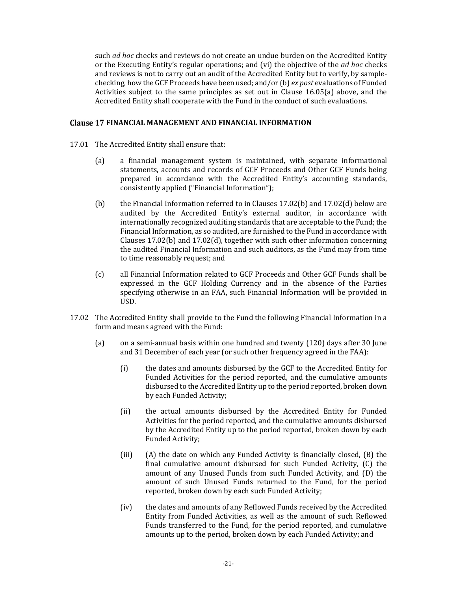such *ad hoc* checks and reviews do not create an undue burden on the Accredited Entity or the Executing Entity's regular operations; and (vi) the objective of the *ad hoc* checks and reviews is not to carry out an audit of the Accredited Entity but to verify, by samplechecking, how the GCF Proceeds have been used; and/or (b) *ex post* evaluations of Funded Activities subject to the same principles as set out in Clause 16.05(a) above, and the Accredited Entity shall cooperate with the Fund in the conduct of such evaluations.

### **FINANCIAL MANAGEMENT AND FINANCIAL INFORMATION**

- 17.01 The Accredited Entity shall ensure that:
	- (a) a financial management system is maintained, with separate informational statements, accounts and records of GCF Proceeds and Other GCF Funds being prepared in accordance with the Accredited Entity's accounting standards, consistently applied ("Financial Information");
	- (b) the Financial Information referred to in Clauses 17.02(b) and 17.02(d) below are audited by the Accredited Entity's external auditor, in accordance with internationally recognized auditing standards that are acceptable to the Fund; the Financial Information, as so audited, are furnished to the Fund in accordance with Clauses 17.02(b) and 17.02(d), together with such other information concerning the audited Financial Information and such auditors, as the Fund may from time to time reasonably request; and
	- (c) all Financial Information related to GCF Proceeds and Other GCF Funds shall be expressed in the GCF Holding Currency and in the absence of the Parties specifying otherwise in an FAA, such Financial Information will be provided in USD.
- 17.02 The Accredited Entity shall provide to the Fund the following Financial Information in a form and means agreed with the Fund:
	- (a) on a semi-annual basis within one hundred and twenty (120) days after 30 June and 31 December of each year (or such other frequency agreed in the FAA):
		- (i) the dates and amounts disbursed by the GCF to the Accredited Entity for Funded Activities for the period reported, and the cumulative amounts disbursed to the Accredited Entity up to the period reported, broken down by each Funded Activity;
		- (ii) the actual amounts disbursed by the Accredited Entity for Funded Activities for the period reported, and the cumulative amounts disbursed by the Accredited Entity up to the period reported, broken down by each Funded Activity;
		- (iii) (A) the date on which any Funded Activity is financially closed, (B) the final cumulative amount disbursed for such Funded Activity, (C) the amount of any Unused Funds from such Funded Activity, and (D) the amount of such Unused Funds returned to the Fund, for the period reported, broken down by each such Funded Activity;
		- (iv) the dates and amounts of any Reflowed Funds received by the Accredited Entity from Funded Activities, as well as the amount of such Reflowed Funds transferred to the Fund, for the period reported, and cumulative amounts up to the period, broken down by each Funded Activity; and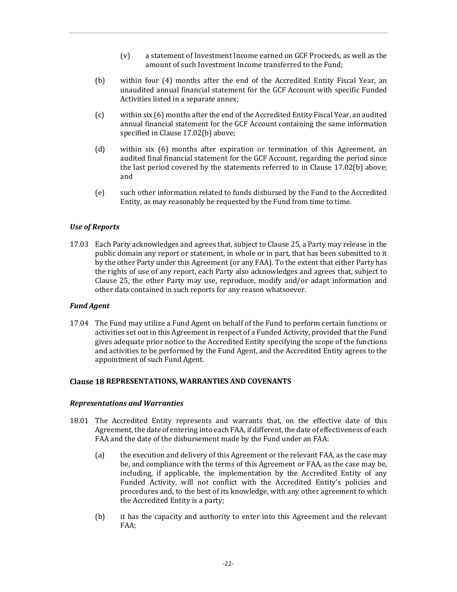- (v) a statement of Investment Income earned on GCF Proceeds, as well as the amount of such Investment Income transferred to the Fund;
- (b) within four (4) months after the end of the Accredited Entity Fiscal Year, an unaudited annual financial statement for the GCF Account with specific Funded Activities listed in a separate annex;
- (c) within six (6) months after the end of the Accredited Entity Fiscal Year, an audited annual financial statement for the GCF Account containing the same information specified in Clause 17.02(b) above;
- (d) within six (6) months after expiration or termination of this Agreement, an audited final financial statement for the GCF Account, regarding the period since the last period covered by the statements referred to in Clause 17.02(b) above; and
- (e) such other information related to funds disbursed by the Fund to the Accredited Entity, as may reasonably be requested by the Fund from time to time.

#### *Use of Reports*

17.03 Each Party acknowledges and agrees that, subject to Clause 25, a Party may release in the public domain any report or statement, in whole or in part, that has been submitted to it by the other Party under this Agreement (or any FAA). To the extent that either Party has the rights of use of any report, each Party also acknowledges and agrees that, subject to Clause 25, the other Party may use, reproduce, modify and/or adapt information and other data contained in such reports for any reason whatsoever.

#### *Fund Agent*

17.04 The Fund may utilize a Fund Agent on behalf of the Fund to perform certain functions or activities set out in this Agreement in respect of a Funded Activity, provided that the Fund gives adequate prior notice to the Accredited Entity specifying the scope of the functions and activities to be performed by the Fund Agent, and the Accredited Entity agrees to the appointment of such Fund Agent.

#### **REPRESENTATIONS, WARRANTIES AND COVENANTS**

#### *Representations and Warranties*

- 18.01 The Accredited Entity represents and warrants that, on the effective date of this Agreement, the date of entering into each FAA, if different, the date of effectiveness of each FAA and the date of the disbursement made by the Fund under an FAA:
	- (a) the execution and delivery of this Agreement or the relevant FAA, as the case may be, and compliance with the terms of this Agreement or FAA, as the case may be, including, if applicable, the implementation by the Accredited Entity of any Funded Activity, will not conflict with the Accredited Entity's policies and procedures and, to the best of its knowledge, with any other agreement to which the Accredited Entity is a party;
	- (b) it has the capacity and authority to enter into this Agreement and the relevant FAA;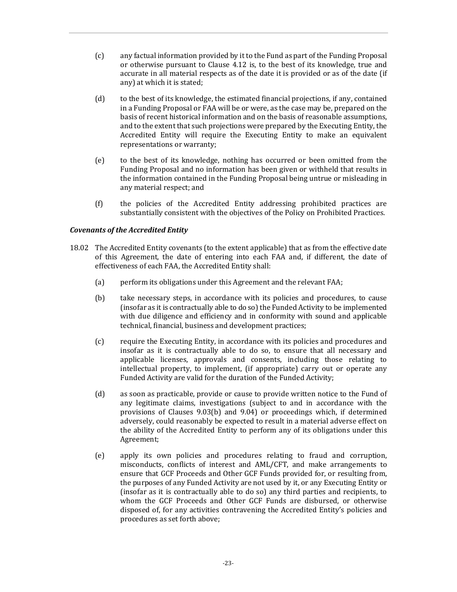- (c) any factual information provided by it to the Fund as part of the Funding Proposal or otherwise pursuant to Clause 4.12 is, to the best of its knowledge, true and accurate in all material respects as of the date it is provided or as of the date (if any) at which it is stated;
- (d) to the best of its knowledge, the estimated financial projections, if any, contained in a Funding Proposal or FAA will be or were, as the case may be, prepared on the basis of recent historical information and on the basis of reasonable assumptions, and to the extent that such projections were prepared by the Executing Entity, the Accredited Entity will require the Executing Entity to make an equivalent representations or warranty;
- (e) to the best of its knowledge, nothing has occurred or been omitted from the Funding Proposal and no information has been given or withheld that results in the information contained in the Funding Proposal being untrue or misleading in any material respect; and
- (f) the policies of the Accredited Entity addressing prohibited practices are substantially consistent with the objectives of the Policy on Prohibited Practices.

# *Covenants of the Accredited Entity*

- 18.02 The Accredited Entity covenants (to the extent applicable) that as from the effective date of this Agreement, the date of entering into each FAA and, if different, the date of effectiveness of each FAA, the Accredited Entity shall:
	- (a) perform its obligations under this Agreement and the relevant FAA;
	- (b) take necessary steps, in accordance with its policies and procedures, to cause (insofar as it is contractually able to do so) the Funded Activity to be implemented with due diligence and efficiency and in conformity with sound and applicable technical, financial, business and development practices;
	- (c) require the Executing Entity, in accordance with its policies and procedures and insofar as it is contractually able to do so, to ensure that all necessary and applicable licenses, approvals and consents, including those relating to intellectual property, to implement, (if appropriate) carry out or operate any Funded Activity are valid for the duration of the Funded Activity;
	- (d) as soon as practicable, provide or cause to provide written notice to the Fund of any legitimate claims, investigations (subject to and in accordance with the provisions of Clauses 9.03(b) and 9.04) or proceedings which, if determined adversely, could reasonably be expected to result in a material adverse effect on the ability of the Accredited Entity to perform any of its obligations under this Agreement;
	- (e) apply its own policies and procedures relating to fraud and corruption, misconducts, conflicts of interest and AML/CFT, and make arrangements to ensure that GCF Proceeds and Other GCF Funds provided for, or resulting from, the purposes of any Funded Activity are not used by it, or any Executing Entity or (insofar as it is contractually able to do so) any third parties and recipients, to whom the GCF Proceeds and Other GCF Funds are disbursed, or otherwise disposed of, for any activities contravening the Accredited Entity's policies and procedures as set forth above;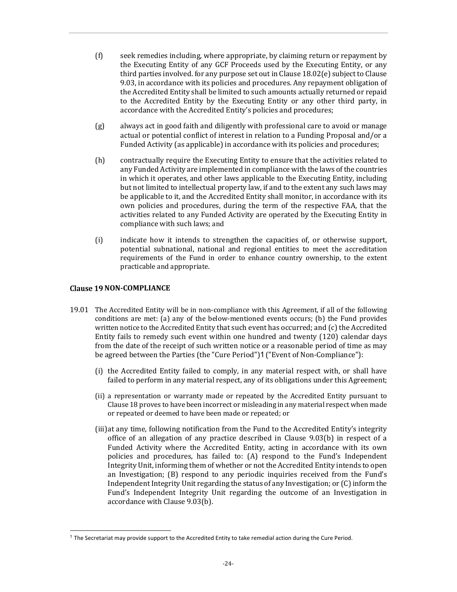- (f) seek remedies including, where appropriate, by claiming return or repayment by the Executing Entity of any GCF Proceeds used by the Executing Entity, or any third parties involved. for any purpose set out in Clause 18.02(e) subject to Clause 9.03, in accordance with its policies and procedures. Any repayment obligation of the Accredited Entity shall be limited to such amounts actually returned or repaid to the Accredited Entity by the Executing Entity or any other third party, in accordance with the Accredited Entity's policies and procedures;
- (g) always act in good faith and diligently with professional care to avoid or manage actual or potential conflict of interest in relation to a Funding Proposal and/or a Funded Activity (as applicable) in accordance with its policies and procedures;
- (h) contractually require the Executing Entity to ensure that the activities related to any Funded Activity are implemented in compliance with the laws of the countries in which it operates, and other laws applicable to the Executing Entity, including but not limited to intellectual property law, if and to the extent any such laws may be applicable to it, and the Accredited Entity shall monitor, in accordance with its own policies and procedures, during the term of the respective FAA, that the activities related to any Funded Activity are operated by the Executing Entity in compliance with such laws; and
- (i) indicate how it intends to strengthen the capacities of, or otherwise support, potential subnational, national and regional entities to meet the accreditation requirements of the Fund in order to enhance country ownership, to the extent practicable and appropriate.

### **Clause 19 NON-COMPLIANCE**

1

- 19.01 The Accredited Entity will be in non-compliance with this Agreement, if all of the following conditions are met: (a) any of the below-mentioned events occurs; (b) the Fund provides written notice to the Accredited Entity that such event has occurred; and (c) the Accredited Entity fails to remedy such event within one hundred and twenty (120) calendar days from the date of the receipt of such written notice or a reasonable period of time as may be agreed between the Parties (the "Cure Period")1("Event of Non-Compliance"):
	- (i) the Accredited Entity failed to comply, in any material respect with, or shall have failed to perform in any material respect, any of its obligations under this Agreement;
	- (ii) a representation or warranty made or repeated by the Accredited Entity pursuant to Clause 18 proves to have been incorrect or misleading in any material respect when made or repeated or deemed to have been made or repeated; or
	- (iii)at any time, following notification from the Fund to the Accredited Entity's integrity office of an allegation of any practice described in Clause 9.03(b) in respect of a Funded Activity where the Accredited Entity, acting in accordance with its own policies and procedures, has failed to: (A) respond to the Fund's Independent Integrity Unit, informing them of whether or not the Accredited Entity intends to open an Investigation; (B) respond to any periodic inquiries received from the Fund's Independent Integrity Unit regarding the status of any Investigation; or (C) inform the Fund's Independent Integrity Unit regarding the outcome of an Investigation in accordance with Clause 9.03(b).

 $1$  The Secretariat may provide support to the Accredited Entity to take remedial action during the Cure Period.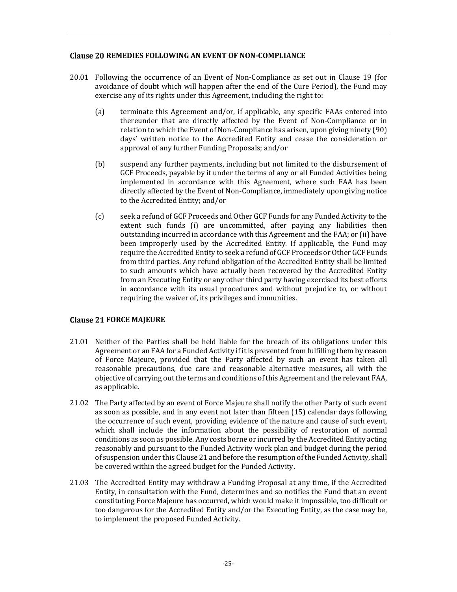# **REMEDIES FOLLOWING AN EVENT OF NON-COMPLIANCE**

- 20.01 Following the occurrence of an Event of Non-Compliance as set out in Clause 19 (for avoidance of doubt which will happen after the end of the Cure Period), the Fund may exercise any of its rights under this Agreement, including the right to:
	- (a) terminate this Agreement and/or, if applicable, any specific FAAs entered into thereunder that are directly affected by the Event of Non-Compliance or in relation to which the Event of Non-Compliance has arisen, upon giving ninety (90) days' written notice to the Accredited Entity and cease the consideration or approval of any further Funding Proposals; and/or
	- (b) suspend any further payments, including but not limited to the disbursement of GCF Proceeds, payable by it under the terms of any or all Funded Activities being implemented in accordance with this Agreement, where such FAA has been directly affected by the Event of Non-Compliance, immediately upon giving notice to the Accredited Entity; and/or
	- (c) seek a refund of GCF Proceeds and Other GCF Funds for any Funded Activity to the extent such funds (i) are uncommitted, after paying any liabilities then outstanding incurred in accordance with this Agreement and the FAA; or (ii) have been improperly used by the Accredited Entity. If applicable, the Fund may require the Accredited Entity to seek a refund of GCF Proceeds or Other GCF Funds from third parties. Any refund obligation of the Accredited Entity shall be limited to such amounts which have actually been recovered by the Accredited Entity from an Executing Entity or any other third party having exercised its best efforts in accordance with its usual procedures and without prejudice to, or without requiring the waiver of, its privileges and immunities.

# **Clause 21 FORCE MAJEURE**

- 21.01 Neither of the Parties shall be held liable for the breach of its obligations under this Agreement or an FAA for a Funded Activity if it is prevented from fulfilling them by reason of Force Majeure, provided that the Party affected by such an event has taken all reasonable precautions, due care and reasonable alternative measures, all with the objective of carrying out the terms and conditions of this Agreement and the relevant FAA, as applicable.
- 21.02 The Party affected by an event of Force Majeure shall notify the other Party of such event as soon as possible, and in any event not later than fifteen (15) calendar days following the occurrence of such event, providing evidence of the nature and cause of such event, which shall include the information about the possibility of restoration of normal conditions as soon as possible. Any costs borne or incurred by the Accredited Entity acting reasonably and pursuant to the Funded Activity work plan and budget during the period of suspension under this Clause 21 and before the resumption of the Funded Activity, shall be covered within the agreed budget for the Funded Activity.
- 21.03 The Accredited Entity may withdraw a Funding Proposal at any time, if the Accredited Entity, in consultation with the Fund, determines and so notifies the Fund that an event constituting Force Majeure has occurred, which would make it impossible, too difficult or too dangerous for the Accredited Entity and/or the Executing Entity, as the case may be, to implement the proposed Funded Activity.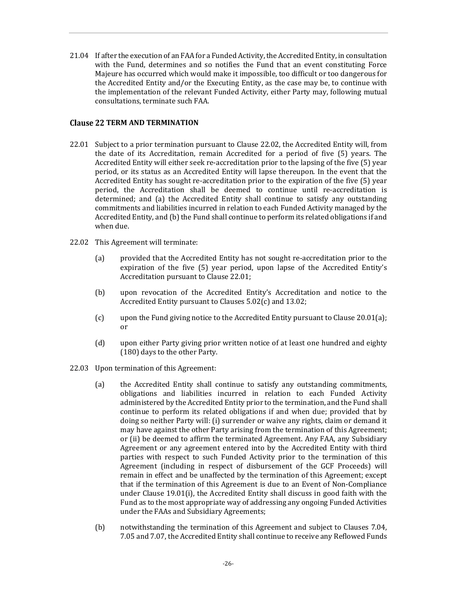21.04 If after the execution of an FAA for a Funded Activity, the Accredited Entity, in consultation with the Fund, determines and so notifies the Fund that an event constituting Force Majeure has occurred which would make it impossible, too difficult or too dangerous for the Accredited Entity and/or the Executing Entity, as the case may be, to continue with the implementation of the relevant Funded Activity, either Party may, following mutual consultations, terminate such FAA.

### **Clause 22 TERM AND TERMINATION**

- 22.01 Subject to a prior termination pursuant to Clause 22.02, the Accredited Entity will, from the date of its Accreditation, remain Accredited for a period of five (5) years. The Accredited Entity will either seek re-accreditation prior to the lapsing of the five (5) year period, or its status as an Accredited Entity will lapse thereupon. In the event that the Accredited Entity has sought re-accreditation prior to the expiration of the five (5) year period, the Accreditation shall be deemed to continue until re-accreditation is determined; and (a) the Accredited Entity shall continue to satisfy any outstanding commitments and liabilities incurred in relation to each Funded Activity managed by the Accredited Entity, and (b) the Fund shall continue to perform its related obligations if and when due.
- 22.02 This Agreement will terminate:
	- (a) provided that the Accredited Entity has not sought re-accreditation prior to the expiration of the five (5) year period, upon lapse of the Accredited Entity's Accreditation pursuant to Clause 22.01;
	- (b) upon revocation of the Accredited Entity's Accreditation and notice to the Accredited Entity pursuant to Clauses 5.02(c) and 13.02;
	- (c) upon the Fund giving notice to the Accredited Entity pursuant to Clause 20.01(a); or
	- (d) upon either Party giving prior written notice of at least one hundred and eighty (180) days to the other Party.
- 22.03 Upon termination of this Agreement:
	- (a) the Accredited Entity shall continue to satisfy any outstanding commitments, obligations and liabilities incurred in relation to each Funded Activity administered by the Accredited Entity prior to the termination, and the Fund shall continue to perform its related obligations if and when due; provided that by doing so neither Party will: (i) surrender or waive any rights, claim or demand it may have against the other Party arising from the termination of this Agreement; or (ii) be deemed to affirm the terminated Agreement. Any FAA, any Subsidiary Agreement or any agreement entered into by the Accredited Entity with third parties with respect to such Funded Activity prior to the termination of this Agreement (including in respect of disbursement of the GCF Proceeds) will remain in effect and be unaffected by the termination of this Agreement; except that if the termination of this Agreement is due to an Event of Non-Compliance under Clause 19.01(i), the Accredited Entity shall discuss in good faith with the Fund as to the most appropriate way of addressing any ongoing Funded Activities under the FAAs and Subsidiary Agreements;
	- (b) notwithstanding the termination of this Agreement and subject to Clauses 7.04, 7.05 and 7.07, the Accredited Entity shall continue to receive any Reflowed Funds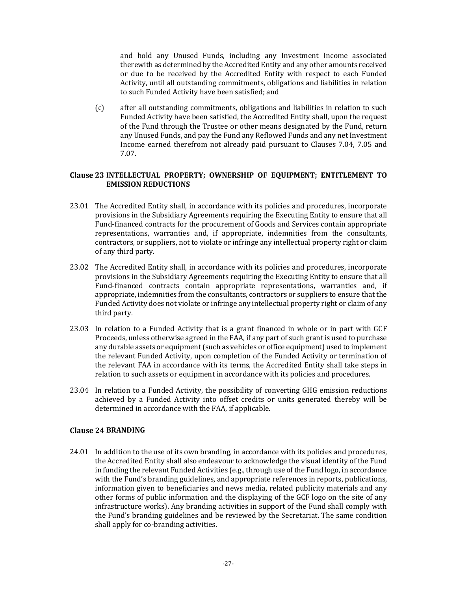and hold any Unused Funds, including any Investment Income associated therewith as determined by the Accredited Entity and any other amounts received or due to be received by the Accredited Entity with respect to each Funded Activity, until all outstanding commitments, obligations and liabilities in relation to such Funded Activity have been satisfied; and

(c) after all outstanding commitments, obligations and liabilities in relation to such Funded Activity have been satisfied, the Accredited Entity shall, upon the request of the Fund through the Trustee or other means designated by the Fund, return any Unused Funds, and pay the Fund any Reflowed Funds and any net Investment Income earned therefrom not already paid pursuant to Clauses 7.04, 7.05 and 7.07.

### **INTELLECTUAL PROPERTY; OWNERSHIP OF EQUIPMENT; ENTITLEMENT TO EMISSION REDUCTIONS**

- 23.01 The Accredited Entity shall, in accordance with its policies and procedures, incorporate provisions in the Subsidiary Agreements requiring the Executing Entity to ensure that all Fund-financed contracts for the procurement of Goods and Services contain appropriate representations, warranties and, if appropriate, indemnities from the consultants, contractors, or suppliers, not to violate or infringe any intellectual property right or claim of any third party.
- 23.02 The Accredited Entity shall, in accordance with its policies and procedures, incorporate provisions in the Subsidiary Agreements requiring the Executing Entity to ensure that all Fund-financed contracts contain appropriate representations, warranties and, if appropriate, indemnities from the consultants, contractors or suppliers to ensure that the Funded Activity does not violate or infringe any intellectual property right or claim of any third party.
- 23.03 In relation to a Funded Activity that is a grant financed in whole or in part with GCF Proceeds, unless otherwise agreed in the FAA, if any part of such grant is used to purchase any durable assets or equipment (such as vehicles or office equipment) used to implement the relevant Funded Activity, upon completion of the Funded Activity or termination of the relevant FAA in accordance with its terms, the Accredited Entity shall take steps in relation to such assets or equipment in accordance with its policies and procedures.
- 23.04 In relation to a Funded Activity, the possibility of converting GHG emission reductions achieved by a Funded Activity into offset credits or units generated thereby will be determined in accordance with the FAA, if applicable.

# **Clause 24 BRANDING**

24.01 In addition to the use of its own branding, in accordance with its policies and procedures, the Accredited Entity shall also endeavour to acknowledge the visual identity of the Fund in funding the relevant Funded Activities (e.g., through use of the Fund logo, in accordance with the Fund's branding guidelines, and appropriate references in reports, publications, information given to beneficiaries and news media, related publicity materials and any other forms of public information and the displaying of the GCF logo on the site of any infrastructure works). Any branding activities in support of the Fund shall comply with the Fund's branding guidelines and be reviewed by the Secretariat. The same condition shall apply for co-branding activities.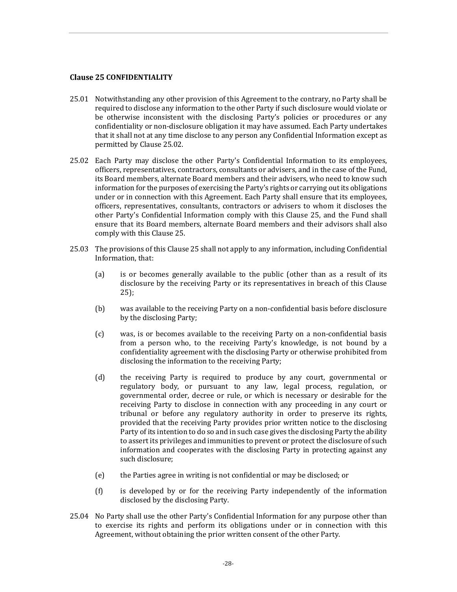#### **Clause 25 CONFIDENTIALITY**

- 25.01 Notwithstanding any other provision of this Agreement to the contrary, no Party shall be required to disclose any information to the other Party if such disclosure would violate or be otherwise inconsistent with the disclosing Party's policies or procedures or any confidentiality or non-disclosure obligation it may have assumed. Each Party undertakes that it shall not at any time disclose to any person any Confidential Information except as permitted by Clause 25.02.
- 25.02 Each Party may disclose the other Party's Confidential Information to its employees, officers, representatives, contractors, consultants or advisers, and in the case of the Fund, its Board members, alternate Board members and their advisers, who need to know such information for the purposes of exercising the Party's rights or carrying out its obligations under or in connection with this Agreement. Each Party shall ensure that its employees, officers, representatives, consultants, contractors or advisers to whom it discloses the other Party's Confidential Information comply with this Clause 25, and the Fund shall ensure that its Board members, alternate Board members and their advisors shall also comply with this Clause 25.
- 25.03 The provisions of this Clause 25 shall not apply to any information, including Confidential Information, that:
	- (a) is or becomes generally available to the public (other than as a result of its disclosure by the receiving Party or its representatives in breach of this Clause 25);
	- (b) was available to the receiving Party on a non-confidential basis before disclosure by the disclosing Party;
	- (c) was, is or becomes available to the receiving Party on a non-confidential basis from a person who, to the receiving Party's knowledge, is not bound by a confidentiality agreement with the disclosing Party or otherwise prohibited from disclosing the information to the receiving Party;
	- (d) the receiving Party is required to produce by any court, governmental or regulatory body, or pursuant to any law, legal process, regulation, or governmental order, decree or rule, or which is necessary or desirable for the receiving Party to disclose in connection with any proceeding in any court or tribunal or before any regulatory authority in order to preserve its rights, provided that the receiving Party provides prior written notice to the disclosing Party of its intention to do so and in such case gives the disclosing Party the ability to assert its privileges and immunities to prevent or protect the disclosure of such information and cooperates with the disclosing Party in protecting against any such disclosure;
	- (e) the Parties agree in writing is not confidential or may be disclosed; or
	- (f) is developed by or for the receiving Party independently of the information disclosed by the disclosing Party.
- 25.04 No Party shall use the other Party's Confidential Information for any purpose other than to exercise its rights and perform its obligations under or in connection with this Agreement, without obtaining the prior written consent of the other Party.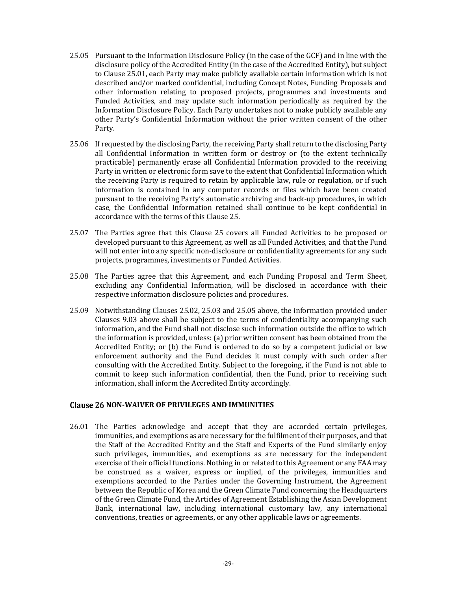- 25.05 Pursuant to the Information Disclosure Policy (in the case of the GCF) and in line with the disclosure policy of the Accredited Entity (in the case of the Accredited Entity), but subject to Clause 25.01, each Party may make publicly available certain information which is not described and/or marked confidential, including Concept Notes, Funding Proposals and other information relating to proposed projects, programmes and investments and Funded Activities, and may update such information periodically as required by the Information Disclosure Policy. Each Party undertakes not to make publicly available any other Party's Confidential Information without the prior written consent of the other Party.
- 25.06 If requested by the disclosing Party, the receiving Party shall return to the disclosing Party all Confidential Information in written form or destroy or (to the extent technically practicable) permanently erase all Confidential Information provided to the receiving Party in written or electronic form save to the extent that Confidential Information which the receiving Party is required to retain by applicable law, rule or regulation, or if such information is contained in any computer records or files which have been created pursuant to the receiving Party's automatic archiving and back-up procedures, in which case, the Confidential Information retained shall continue to be kept confidential in accordance with the terms of this Clause 25.
- 25.07 The Parties agree that this Clause 25 covers all Funded Activities to be proposed or developed pursuant to this Agreement, as well as all Funded Activities, and that the Fund will not enter into any specific non-disclosure or confidentiality agreements for any such projects, programmes, investments or Funded Activities.
- 25.08 The Parties agree that this Agreement, and each Funding Proposal and Term Sheet, excluding any Confidential Information, will be disclosed in accordance with their respective information disclosure policies and procedures.
- 25.09 Notwithstanding Clauses 25.02, 25.03 and 25.05 above, the information provided under Clauses 9.03 above shall be subject to the terms of confidentiality accompanying such information, and the Fund shall not disclose such information outside the office to which the information is provided, unless: (a) prior written consent has been obtained from the Accredited Entity; or (b) the Fund is ordered to do so by a competent judicial or law enforcement authority and the Fund decides it must comply with such order after consulting with the Accredited Entity. Subject to the foregoing, if the Fund is not able to commit to keep such information confidential, then the Fund, prior to receiving such information, shall inform the Accredited Entity accordingly.

# **Clause 26 NON-WAIVER OF PRIVILEGES AND IMMUNITIES**

26.01 The Parties acknowledge and accept that they are accorded certain privileges, immunities, and exemptions as are necessary for the fulfilment of their purposes, and that the Staff of the Accredited Entity and the Staff and Experts of the Fund similarly enjoy such privileges, immunities, and exemptions as are necessary for the independent exercise of their official functions. Nothing in or related to this Agreement or any FAA may be construed as a waiver, express or implied, of the privileges, immunities and exemptions accorded to the Parties under the Governing Instrument, the Agreement between the Republic of Korea and the Green Climate Fund concerning the Headquarters of the Green Climate Fund, the Articles of Agreement Establishing the Asian Development Bank, international law, including international customary law, any international conventions, treaties or agreements, or any other applicable laws or agreements.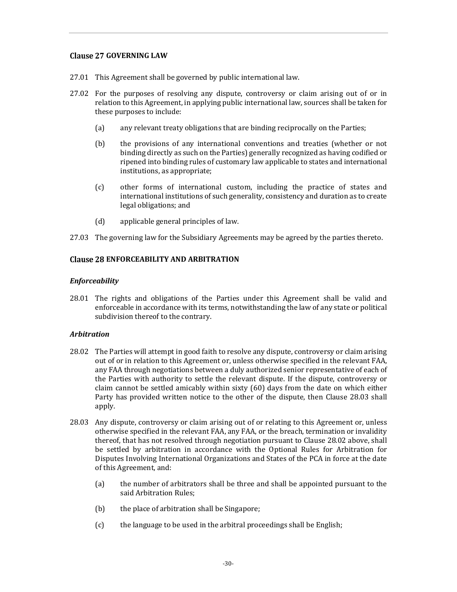# **Clause 27 GOVERNING LAW**

- 27.01 This Agreement shall be governed by public international law.
- 27.02 For the purposes of resolving any dispute, controversy or claim arising out of or in relation to this Agreement, in applying public international law, sources shall be taken for these purposes to include:
	- (a) any relevant treaty obligations that are binding reciprocally on the Parties;
	- (b) the provisions of any international conventions and treaties (whether or not binding directly as such on the Parties) generally recognized as having codified or ripened into binding rules of customary law applicable to states and international institutions, as appropriate;
	- (c) other forms of international custom, including the practice of states and international institutions of such generality, consistency and duration as to create legal obligations; and
	- (d) applicable general principles of law.
- 27.03 The governing law for the Subsidiary Agreements may be agreed by the parties thereto.

# **Clause 28 ENFORCEABILITY AND ARBITRATION**

### *Enforceability*

28.01 The rights and obligations of the Parties under this Agreement shall be valid and enforceable in accordance with its terms, notwithstanding the law of any state or political subdivision thereof to the contrary.

# *Arbitration*

- 28.02 The Parties will attempt in good faith to resolve any dispute, controversy or claim arising out of or in relation to this Agreement or, unless otherwise specified in the relevant FAA, any FAA through negotiations between a duly authorized senior representative of each of the Parties with authority to settle the relevant dispute. If the dispute, controversy or claim cannot be settled amicably within sixty (60) days from the date on which either Party has provided written notice to the other of the dispute, then Clause 28.03 shall apply.
- 28.03 Any dispute, controversy or claim arising out of or relating to this Agreement or, unless otherwise specified in the relevant FAA, any FAA, or the breach, termination or invalidity thereof, that has not resolved through negotiation pursuant to Clause 28.02 above, shall be settled by arbitration in accordance with the Optional Rules for Arbitration for Disputes Involving International Organizations and States of the PCA in force at the date of this Agreement, and:
	- (a) the number of arbitrators shall be three and shall be appointed pursuant to the said Arbitration Rules;
	- (b) the place of arbitration shall be Singapore;
	- (c) the language to be used in the arbitral proceedings shall be English;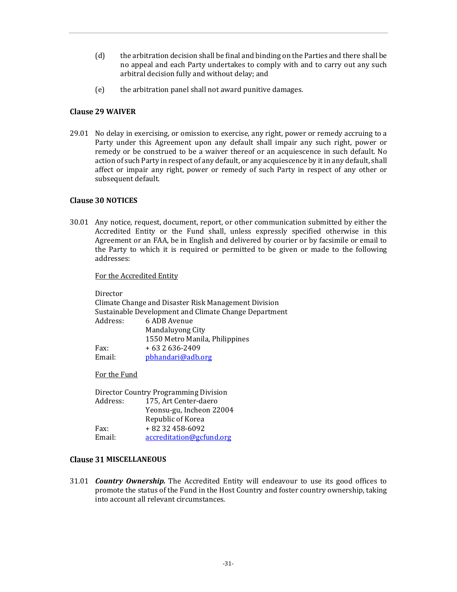- (d) the arbitration decision shall be final and binding on the Parties and there shall be no appeal and each Party undertakes to comply with and to carry out any such arbitral decision fully and without delay; and
- (e) the arbitration panel shall not award punitive damages.

## **Clause 29 WAIVER**

29.01 No delay in exercising, or omission to exercise, any right, power or remedy accruing to a Party under this Agreement upon any default shall impair any such right, power or remedy or be construed to be a waiver thereof or an acquiescence in such default. No action of such Party in respect of any default, or any acquiescence by it in any default, shall affect or impair any right, power or remedy of such Party in respect of any other or subsequent default.

### **Clause 30 NOTICES**

30.01 Any notice, request, document, report, or other communication submitted by either the Accredited Entity or the Fund shall, unless expressly specified otherwise in this Agreement or an FAA, be in English and delivered by courier or by facsimile or email to the Party to which it is required or permitted to be given or made to the following addresses:

For the Accredited Entity

Director Climate Change and Disaster Risk Management Division Sustainable Development and Climate Change Department Address: 6 ADB Avenue Mandaluyong City 1550 Metro Manila, Philippines Fax:  $+632636-2409$ Email: pbhandari@adb.org

For the Fund

Director Country Programming Division Address: 175, Art Center-daero Yeonsu-gu, Incheon 22004 Republic of Korea Fax:  $+ 8232458-6092$ Email: accreditation@gcfund.org

### **Clause 31 MISCELLANEOUS**

31.01 *Country Ownership.* The Accredited Entity will endeavour to use its good offices to promote the status of the Fund in the Host Country and foster country ownership, taking into account all relevant circumstances.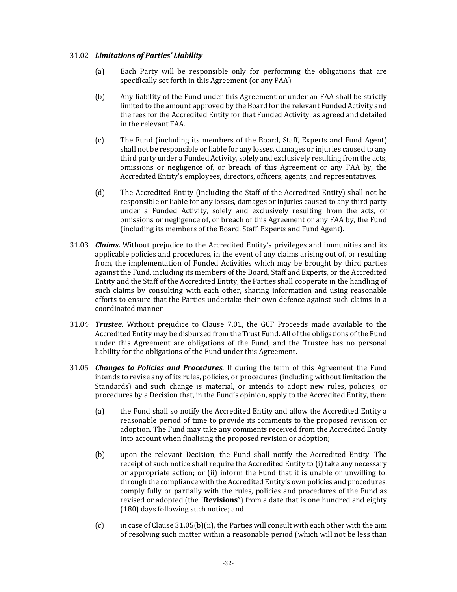### 31.02 *Limitations of Parties' Liability*

- (a) Each Party will be responsible only for performing the obligations that are specifically set forth in this Agreement (or any FAA).
- (b) Any liability of the Fund under this Agreement or under an FAA shall be strictly limited to the amount approved by the Board for the relevant Funded Activity and the fees for the Accredited Entity for that Funded Activity, as agreed and detailed in the relevant FAA.
- (c) The Fund (including its members of the Board, Staff, Experts and Fund Agent) shall not be responsible or liable for any losses, damages or injuries caused to any third party under a Funded Activity, solely and exclusively resulting from the acts, omissions or negligence of, or breach of this Agreement or any FAA by, the Accredited Entity's employees, directors, officers, agents, and representatives.
- (d) The Accredited Entity (including the Staff of the Accredited Entity) shall not be responsible or liable for any losses, damages or injuries caused to any third party under a Funded Activity, solely and exclusively resulting from the acts, or omissions or negligence of, or breach of this Agreement or any FAA by, the Fund (including its members of the Board, Staff, Experts and Fund Agent).
- 31.03 *Claims.* Without prejudice to the Accredited Entity's privileges and immunities and its applicable policies and procedures, in the event of any claims arising out of, or resulting from, the implementation of Funded Activities which may be brought by third parties against the Fund, including its members of the Board, Staff and Experts, or the Accredited Entity and the Staff of the Accredited Entity, the Parties shall cooperate in the handling of such claims by consulting with each other, sharing information and using reasonable efforts to ensure that the Parties undertake their own defence against such claims in a coordinated manner.
- 31.04 *Trustee.* Without prejudice to Clause 7.01, the GCF Proceeds made available to the Accredited Entity may be disbursed from the Trust Fund. All of the obligations of the Fund under this Agreement are obligations of the Fund, and the Trustee has no personal liability for the obligations of the Fund under this Agreement.
- 31.05 *Changes to Policies and Procedures.* If during the term of this Agreement the Fund intends to revise any of its rules, policies, or procedures (including without limitation the Standards) and such change is material, or intends to adopt new rules, policies, or procedures by a Decision that, in the Fund's opinion, apply to the Accredited Entity, then:
	- (a) the Fund shall so notify the Accredited Entity and allow the Accredited Entity a reasonable period of time to provide its comments to the proposed revision or adoption. The Fund may take any comments received from the Accredited Entity into account when finalising the proposed revision or adoption;
	- (b) upon the relevant Decision, the Fund shall notify the Accredited Entity. The receipt of such notice shall require the Accredited Entity to (i) take any necessary or appropriate action; or (ii) inform the Fund that it is unable or unwilling to, through the compliance with the Accredited Entity's own policies and procedures, comply fully or partially with the rules, policies and procedures of the Fund as revised or adopted (the "**Revisions**") from a date that is one hundred and eighty (180) days following such notice; and
	- (c) in case of Clause 31.05(b)(ii), the Parties will consult with each other with the aim of resolving such matter within a reasonable period (which will not be less than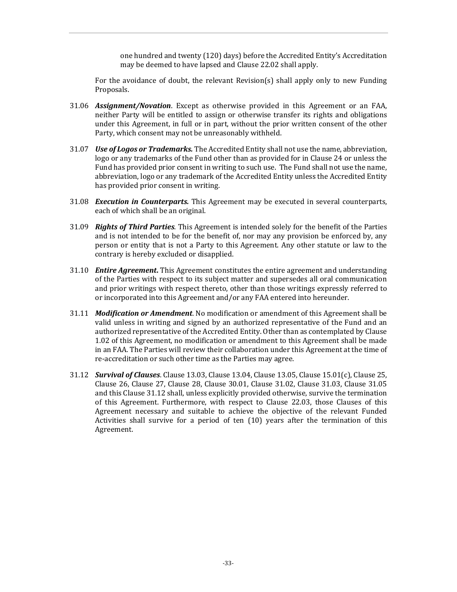one hundred and twenty (120) days) before the Accredited Entity's Accreditation may be deemed to have lapsed and Clause 22.02 shall apply.

For the avoidance of doubt, the relevant Revision(s) shall apply only to new Funding Proposals.

- 31.06 *Assignment/Novation*. Except as otherwise provided in this Agreement or an FAA, neither Party will be entitled to assign or otherwise transfer its rights and obligations under this Agreement, in full or in part, without the prior written consent of the other Party, which consent may not be unreasonably withheld.
- 31.07 *Use of Logos or Trademarks.* The Accredited Entity shall not use the name, abbreviation, logo or any trademarks of the Fund other than as provided for in Clause 24 or unless the Fund has provided prior consent in writing to such use. The Fund shall not use the name, abbreviation, logo or any trademark of the Accredited Entity unless the Accredited Entity has provided prior consent in writing.
- 31.08 *Execution in Counterparts.* This Agreement may be executed in several counterparts, each of which shall be an original.
- 31.09 *Rights of Third Parties*. This Agreement is intended solely for the benefit of the Parties and is not intended to be for the benefit of, nor may any provision be enforced by, any person or entity that is not a Party to this Agreement. Any other statute or law to the contrary is hereby excluded or disapplied.
- 31.10 *Entire Agreement***.** This Agreement constitutes the entire agreement and understanding of the Parties with respect to its subject matter and supersedes all oral communication and prior writings with respect thereto, other than those writings expressly referred to or incorporated into this Agreement and/or any FAA entered into hereunder.
- 31.11 *Modification or Amendment*. No modification or amendment of this Agreement shall be valid unless in writing and signed by an authorized representative of the Fund and an authorized representative of the Accredited Entity. Other than as contemplated by Clause 1.02 of this Agreement, no modification or amendment to this Agreement shall be made in an FAA. The Parties will review their collaboration under this Agreement at the time of re-accreditation or such other time as the Parties may agree.
- 31.12 *Survival of Clauses*. Clause 13.03, Clause 13.04, Clause 13.05, Clause 15.01(c), Clause 25, Clause 26, Clause 27, Clause 28, Clause 30.01, Clause 31.02, Clause 31.03, Clause 31.05 and this Clause 31.12 shall, unless explicitly provided otherwise, survive the termination of this Agreement. Furthermore, with respect to Clause 22.03, those Clauses of this Agreement necessary and suitable to achieve the objective of the relevant Funded Activities shall survive for a period of ten (10) years after the termination of this Agreement.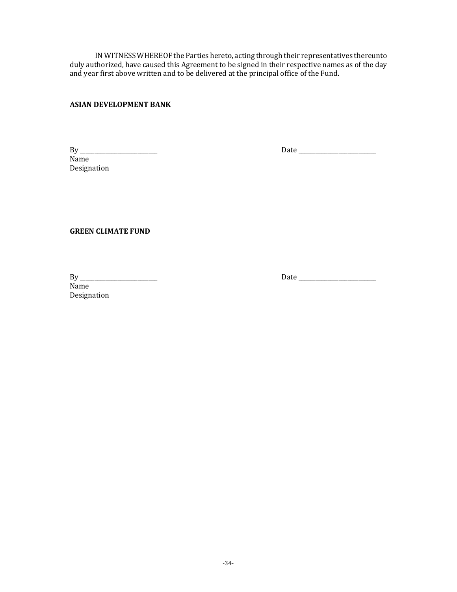IN WITNESS WHEREOF the Parties hereto, acting through their representatives thereunto duly authorized, have caused this Agreement to be signed in their respective names as of the day and year first above written and to be delivered at the principal office of the Fund.

# **ASIAN DEVELOPMENT BANK**

Name Designation

By \_\_\_\_\_\_\_\_\_\_\_\_\_\_\_\_\_\_\_\_\_\_\_\_\_\_\_ Date \_\_\_\_\_\_\_\_\_\_\_\_\_\_\_\_\_\_\_\_\_\_\_\_\_\_\_

**GREEN CLIMATE FUND** 

Name Designation

By \_\_\_\_\_\_\_\_\_\_\_\_\_\_\_\_\_\_\_\_\_\_\_\_\_\_\_ Date \_\_\_\_\_\_\_\_\_\_\_\_\_\_\_\_\_\_\_\_\_\_\_\_\_\_\_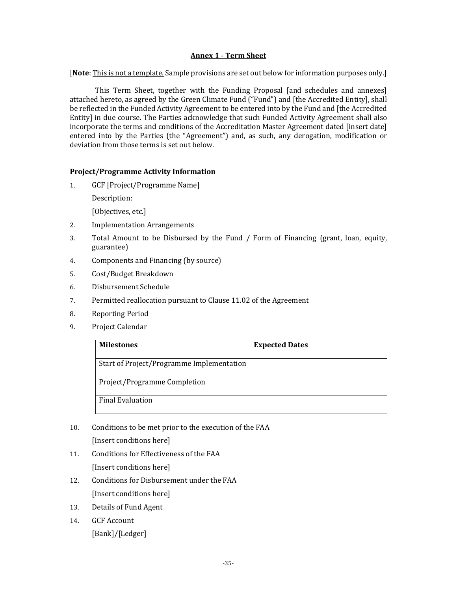# **Annex 1** - **Term Sheet**

[**Note**: This is not a template. Sample provisions are set out below for information purposes only.]

This Term Sheet, together with the Funding Proposal [and schedules and annexes] attached hereto, as agreed by the Green Climate Fund ("Fund") and [the Accredited Entity], shall be reflected in the Funded Activity Agreement to be entered into by the Fund and [the Accredited Entity] in due course. The Parties acknowledge that such Funded Activity Agreement shall also incorporate the terms and conditions of the Accreditation Master Agreement dated [insert date] entered into by the Parties (the "Agreement") and, as such, any derogation, modification or deviation from those terms is set out below.

### **Project/Programme Activity Information**

1. GCF [Project/Programme Name]

Description:

[Objectives, etc.]

- 2. Implementation Arrangements
- 3. Total Amount to be Disbursed by the Fund / Form of Financing (grant, loan, equity, guarantee)
- 4. Components and Financing (by source)
- 5. Cost/Budget Breakdown
- 6. Disbursement Schedule
- 7. Permitted reallocation pursuant to Clause 11.02 of the Agreement
- 8. Reporting Period
- 9. Project Calendar

| <b>Milestones</b>                         | <b>Expected Dates</b> |
|-------------------------------------------|-----------------------|
| Start of Project/Programme Implementation |                       |
| Project/Programme Completion              |                       |
| <b>Final Evaluation</b>                   |                       |

10. Conditions to be met prior to the execution of the FAA

[Insert conditions here]

- 11. Conditions for Effectiveness of the FAA [Insert conditions here]
- 12. Conditions for Disbursement under the FAA [Insert conditions here]
- 13. Details of Fund Agent
- 14. GCF Account [Bank]/[Ledger]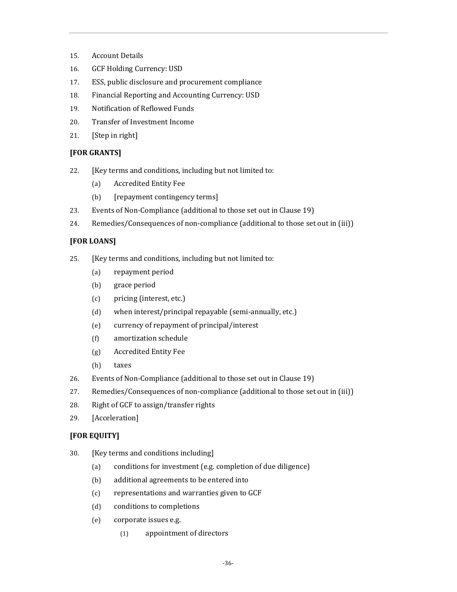- 15. Account Details
- 16. GCF Holding Currency: USD
- 17. ESS, public disclosure and procurement compliance
- 18. Financial Reporting and Accounting Currency: USD
- 19. Notification of Reflowed Funds
- 20. Transfer of Investment Income
- 21. [Step in right]

# **[FOR GRANTS]**

- 22. [Key terms and conditions, including but not limited to:
	- (a) Accredited Entity Fee
	- (b) [repayment contingency terms]
- 23. Events of Non-Compliance (additional to those set out in Clause 19)
- 24. Remedies/Consequences of non-compliance (additional to those set out in (iii))

# **[FOR LOANS]**

- 25. [Key terms and conditions, including but not limited to:
	- (a) repayment period
	- (b) grace period
	- (c) pricing (interest, etc.)
	- (d) when interest/principal repayable (semi-annually, etc.)
	- (e) currency of repayment of principal/interest
	- (f) amortization schedule
	- (g) Accredited Entity Fee
	- (h) taxes
- 26. Events of Non-Compliance (additional to those set out in Clause 19)
- 27. Remedies/Consequences of non-compliance (additional to those set out in (iii))
- 28. Right of GCF to assign/transfer rights
- 29. [Acceleration]

# **[FOR EQUITY]**

- 30. [Key terms and conditions including]
	- (a) conditions for investment (e.g. completion of due diligence)
	- (b) additional agreements to be entered into
	- (c) representations and warranties given to GCF
	- (d) conditions to completions
	- (e) corporate issues e.g.
		- (1) appointment of directors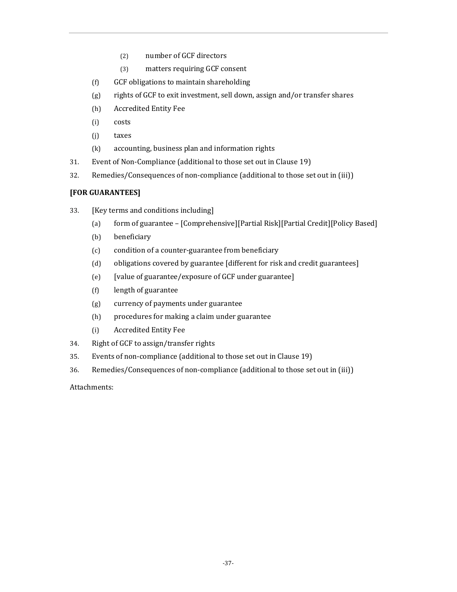- (2) number of GCF directors
- (3) matters requiring GCF consent
- (f) GCF obligations to maintain shareholding
- (g) rights of GCF to exit investment, sell down, assign and/or transfer shares
- (h) Accredited Entity Fee
- (i) costs
- (j) taxes
- (k) accounting, business plan and information rights
- 31. Event of Non-Compliance (additional to those set out in Clause 19)
- 32. Remedies/Consequences of non-compliance (additional to those set out in (iii))

# **[FOR GUARANTEES]**

- 33. [Key terms and conditions including]
	- (a) form of guarantee [Comprehensive][Partial Risk][Partial Credit][Policy Based]
	- (b) beneficiary
	- (c) condition of a counter-guarantee from beneficiary
	- (d) obligations covered by guarantee [different for risk and credit guarantees]
	- (e) [value of guarantee/exposure of GCF under guarantee]
	- (f) length of guarantee
	- (g) currency of payments under guarantee
	- (h) procedures for making a claim under guarantee
	- (i) Accredited Entity Fee
- 34. Right of GCF to assign/transfer rights
- 35. Events of non-compliance (additional to those set out in Clause 19)
- 36. Remedies/Consequences of non-compliance (additional to those set out in (iii))

Attachments: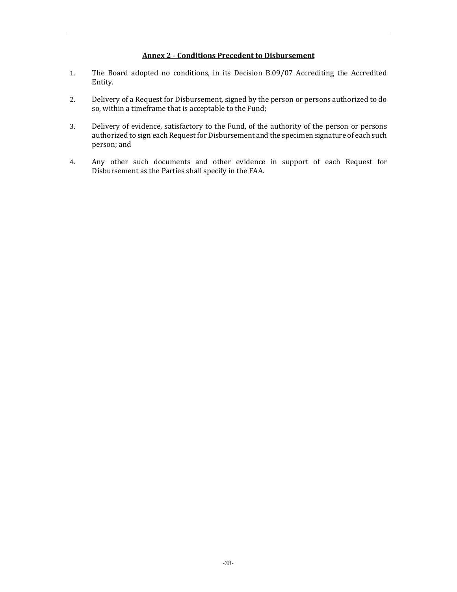#### **Annex 2** - **Conditions Precedent to Disbursement**

- 1. The Board adopted no conditions, in its Decision B.09/07 Accrediting the Accredited Entity.
- 2. Delivery of a Request for Disbursement, signed by the person or persons authorized to do so, within a timeframe that is acceptable to the Fund;
- 3. Delivery of evidence, satisfactory to the Fund, of the authority of the person or persons authorized to sign each Request for Disbursement and the specimen signature of each such person; and
- 4. Any other such documents and other evidence in support of each Request for Disbursement as the Parties shall specify in the FAA.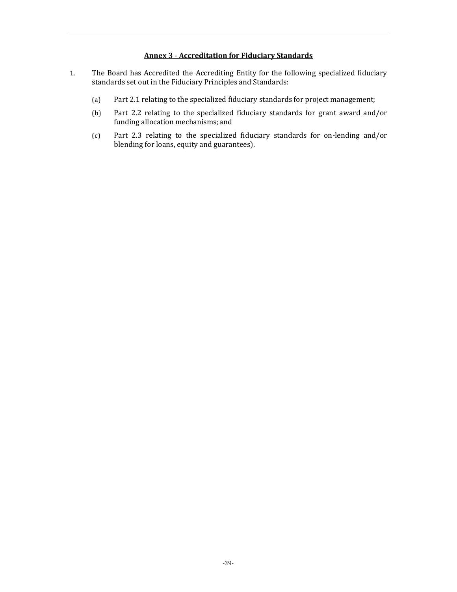# **Annex 3** - **Accreditation for Fiduciary Standards**

- 1. The Board has Accredited the Accrediting Entity for the following specialized fiduciary standards set out in the Fiduciary Principles and Standards:
	- (a) Part 2.1 relating to the specialized fiduciary standards for project management;
	- (b) Part 2.2 relating to the specialized fiduciary standards for grant award and/or funding allocation mechanisms; and
	- (c) Part 2.3 relating to the specialized fiduciary standards for on-lending and/or blending for loans, equity and guarantees).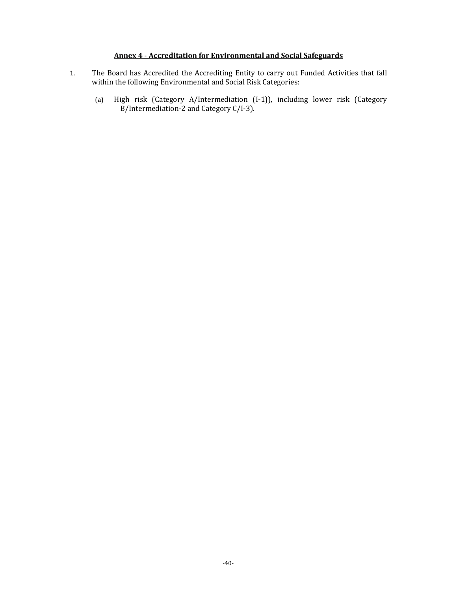# **Annex 4** - **Accreditation for Environmental and Social Safeguards**

- 1. The Board has Accredited the Accrediting Entity to carry out Funded Activities that fall within the following Environmental and Social Risk Categories:
	- (a) High risk (Category A/Intermediation (I-1)), including lower risk (Category  $B/$ Intermediation-2 and Category C/I-3).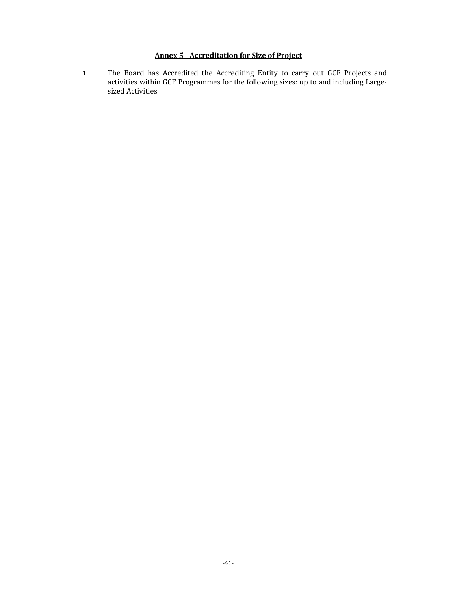# **Annex 5** - **Accreditation for Size of Project**

1. The Board has Accredited the Accrediting Entity to carry out GCF Projects and activities within GCF Programmes for the following sizes: up to and including Largesized Activities.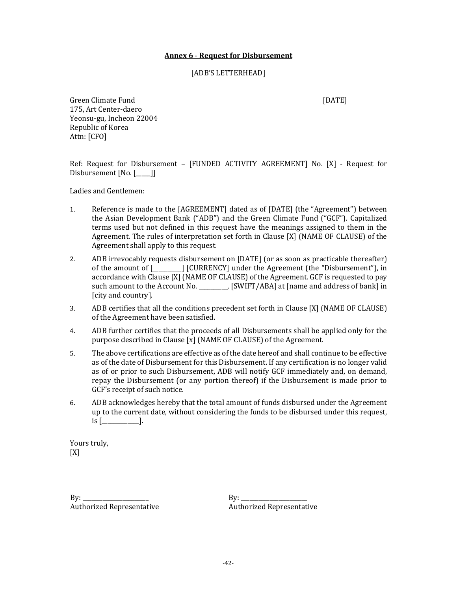#### **Annex 6** - **Request for Disbursement**

[ADB'S LETTERHEAD]

Green Climate Fund **[DATE] CONSERVERS CONSERVERS CONSERVERS CONSERVERS CONSERVERS** 175, Art Center-daero Yeonsu-gu, Incheon 22004 Republic of Korea Attn: [CFO]

Ref: Request for Disbursement – [FUNDED ACTIVITY AGREEMENT] No. [X] - Request for Disbursement [No. [\_\_\_]]

Ladies and Gentlemen:

- 1. Reference is made to the [AGREEMENT] dated as of [DATE] (the "Agreement") between the Asian Development Bank ("ADB") and the Green Climate Fund ("GCF"). Capitalized terms used but not defined in this request have the meanings assigned to them in the Agreement. The rules of interpretation set forth in Clause [X] (NAME OF CLAUSE) of the Agreement shall apply to this request.
- 2. ADB irrevocably requests disbursement on [DATE] (or as soon as practicable thereafter) of the amount of [\_\_\_\_\_\_\_\_\_\_] [CURRENCY] under the Agreement (the "Disbursement"), in accordance with Clause [X] (NAME OF CLAUSE) of the Agreement. GCF is requested to pay such amount to the Account No. \_\_\_\_\_\_\_\_\_, [SWIFT/ABA] at [name and address of bank] in [city and country].
- 3. ADB certifies that all the conditions precedent set forth in Clause [X] (NAME OF CLAUSE) of the Agreement have been satisfied.
- 4. ADB further certifies that the proceeds of all Disbursements shall be applied only for the purpose described in Clause [x] (NAME OF CLAUSE) of the Agreement.
- 5. The above certifications are effective as of the date hereof and shall continue to be effective as of the date of Disbursement for this Disbursement. If any certification is no longer valid as of or prior to such Disbursement, ADB will notify GCF immediately and, on demand, repay the Disbursement (or any portion thereof) if the Disbursement is made prior to GCF's receipt of such notice.
- 6. ADB acknowledges hereby that the total amount of funds disbursed under the Agreement up to the current date, without considering the funds to be disbursed under this request,  $is$   $\lbrack$

Yours truly, [X]

 $By:$ Authorized Representative  $By:$ Authorized Representative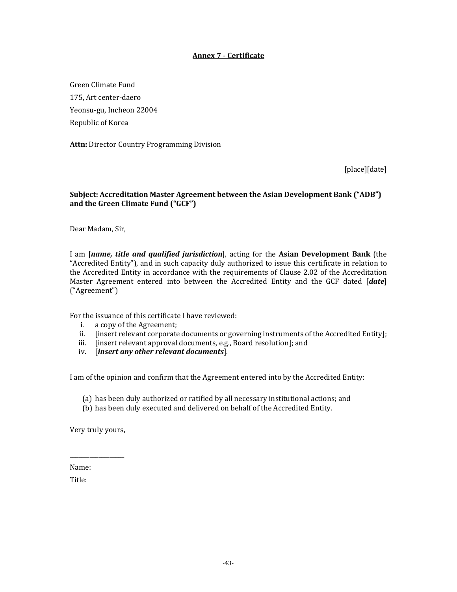# **Annex 7** - **Certificate**

Green Climate Fund 175, Art center-daero Yeonsu-gu, Incheon 22004 Republic of Korea

**Attn:** Director Country Programming Division

[place][date]

## **Subject: Accreditation Master Agreement between the Asian Development Bank ("ADB") and the Green Climate Fund ("GCF")**

Dear Madam, Sir,

I am [*name, title and qualified jurisdiction*], acting for the **Asian Development Bank** (the "Accredited Entity"), and in such capacity duly authorized to issue this certificate in relation to the Accredited Entity in accordance with the requirements of Clause 2.02 of the Accreditation Master Agreement entered into between the Accredited Entity and the GCF dated [*date*] ("Agreement")

For the issuance of this certificate I have reviewed:

- i. a copy of the Agreement;
- ii. [insert relevant corporate documents or governing instruments of the Accredited Entity];
- iii. [insert relevant approval documents, e.g., Board resolution]; and
- iv. [*insert any other relevant documents*].

I am of the opinion and confirm that the Agreement entered into by the Accredited Entity:

- (a) has been duly authorized or ratified by all necessary institutional actions; and
- (b) has been duly executed and delivered on behalf of the Accredited Entity.

Very truly yours,

\_\_\_\_\_\_\_\_\_\_\_\_\_\_\_\_\_\_\_

Name:

Title: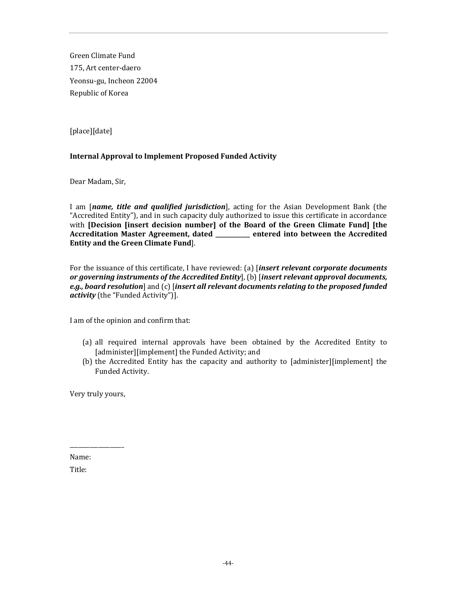Green Climate Fund 175, Art center-daero Yeonsu-gu, Incheon 22004 Republic of Korea

[place][date]

# **Internal Approval to Implement Proposed Funded Activity**

Dear Madam, Sir,

I am [*name, title and qualified jurisdiction*], acting for the Asian Development Bank (the "Accredited Entity"), and in such capacity duly authorized to issue this certificate in accordance with **[Decision [insert decision number] of the Board of the Green Climate Fund] [the Accreditation Master Agreement, dated \_\_\_\_\_\_\_\_\_\_\_\_ entered into between the Accredited Entity and the Green Climate Fund**].

For the issuance of this certificate, I have reviewed: (a) [*insert relevant corporate documents or governing instruments of the Accredited Entity*], (b) [*insert relevant approval documents, e.g., board resolution*] and (c) [*insert all relevant documents relating to the proposed funded activity* (the "Funded Activity")].

I am of the opinion and confirm that:

- (a) all required internal approvals have been obtained by the Accredited Entity to [administer][implement] the Funded Activity; and
- (b) the Accredited Entity has the capacity and authority to [administer][implement] the Funded Activity.

Very truly yours,

\_\_\_\_\_\_\_\_\_\_\_\_\_\_\_\_\_\_\_

Name: Title: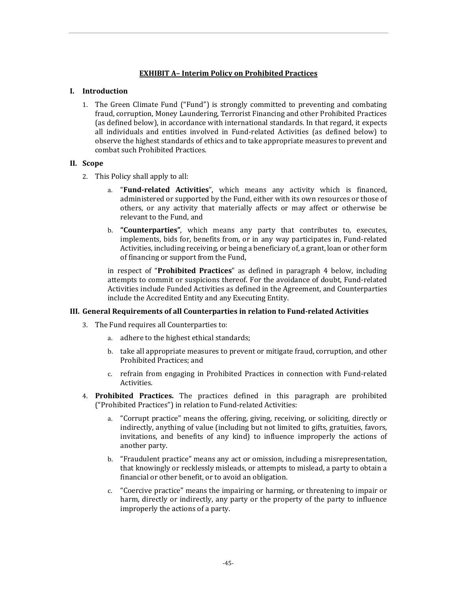## **EXHIBIT A– Interim Policy on Prohibited Practices**

#### **I. Introduction**

1. The Green Climate Fund ("Fund") is strongly committed to preventing and combating fraud, corruption, Money Laundering, Terrorist Financing and other Prohibited Practices (as defined below), in accordance with international standards. In that regard, it expects all individuals and entities involved in Fund-related Activities (as defined below) to observe the highest standards of ethics and to take appropriate measures to prevent and combat such Prohibited Practices.

### **II. Scope**

- 2. This Policy shall apply to all:
	- a. "**Fund-related Activities**", which means any activity which is financed, administered or supported by the Fund, either with its own resources or those of others, or any activity that materially affects or may affect or otherwise be relevant to the Fund, and
	- b. **"Counterparties"**, which means any party that contributes to, executes, implements, bids for, benefits from, or in any way participates in, Fund-related Activities, including receiving, or being a beneficiary of, a grant, loan or other form of financing or support from the Fund,

in respect of "**Prohibited Practices**" as defined in paragraph 4 below, including attempts to commit or suspicions thereof. For the avoidance of doubt, Fund-related Activities include Funded Activities as defined in the Agreement, and Counterparties include the Accredited Entity and any Executing Entity.

#### **III. General Requirements of all Counterparties in relation to Fund-related Activities**

- 3. The Fund requires all Counterparties to:
	- a. adhere to the highest ethical standards;
	- b. take all appropriate measures to prevent or mitigate fraud, corruption, and other Prohibited Practices; and
	- c. refrain from engaging in Prohibited Practices in connection with Fund-related Activities.
- 4. **Prohibited Practices.** The practices defined in this paragraph are prohibited ("Prohibited Practices") in relation to Fund-related Activities:
	- a. "Corrupt practice" means the offering, giving, receiving, or soliciting, directly or indirectly, anything of value (including but not limited to gifts, gratuities, favors, invitations, and benefits of any kind) to influence improperly the actions of another party.
	- b. "Fraudulent practice" means any act or omission, including a misrepresentation, that knowingly or recklessly misleads, or attempts to mislead, a party to obtain a financial or other benefit, or to avoid an obligation.
	- c. "Coercive practice" means the impairing or harming, or threatening to impair or harm, directly or indirectly, any party or the property of the party to influence improperly the actions of a party.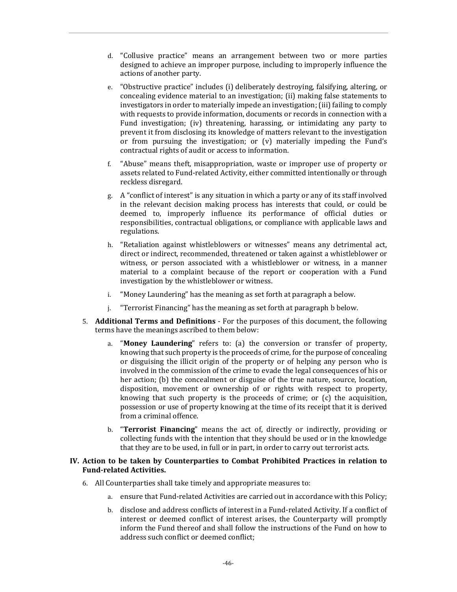- d. "Collusive practice" means an arrangement between two or more parties designed to achieve an improper purpose, including to improperly influence the actions of another party.
- e. "Obstructive practice" includes (i) deliberately destroying, falsifying, altering, or concealing evidence material to an investigation; (ii) making false statements to investigators in order to materially impede an investigation; (iii) failing to comply with requests to provide information, documents or records in connection with a Fund investigation; (iv) threatening, harassing, or intimidating any party to prevent it from disclosing its knowledge of matters relevant to the investigation or from pursuing the investigation; or (v) materially impeding the Fund's contractual rights of audit or access to information.
- f. "Abuse" means theft, misappropriation, waste or improper use of property or assets related to Fund-related Activity, either committed intentionally or through reckless disregard.
- g. A "conflict of interest" is any situation in which a party or any of its staff involved in the relevant decision making process has interests that could, or could be deemed to, improperly influence its performance of official duties or responsibilities, contractual obligations, or compliance with applicable laws and regulations.
- h. "Retaliation against whistleblowers or witnesses" means any detrimental act, direct or indirect, recommended, threatened or taken against a whistleblower or witness, or person associated with a whistleblower or witness, in a manner material to a complaint because of the report or cooperation with a Fund investigation by the whistleblower or witness.
- i. "Money Laundering" has the meaning as set forth at paragraph a below.
- j. "Terrorist Financing" has the meaning as set forth at paragraph b below.
- 5. **Additional Terms and Definitions** For the purposes of this document, the following terms have the meanings ascribed to them below:
	- a. "**Money Laundering**" refers to: (a) the conversion or transfer of property, knowing that such property is the proceeds of crime, for the purpose of concealing or disguising the illicit origin of the property or of helping any person who is involved in the commission of the crime to evade the legal consequences of his or her action; (b) the concealment or disguise of the true nature, source, location, disposition, movement or ownership of or rights with respect to property, knowing that such property is the proceeds of crime; or (c) the acquisition, possession or use of property knowing at the time of its receipt that it is derived from a criminal offence.
	- b. "**Terrorist Financing**" means the act of, directly or indirectly, providing or collecting funds with the intention that they should be used or in the knowledge that they are to be used, in full or in part, in order to carry out terrorist acts.

#### **IV. Action to be taken by Counterparties to Combat Prohibited Practices in relation to Fund-related Activities.**

- 6. All Counterparties shall take timely and appropriate measures to:
	- a. ensure that Fund-related Activities are carried out in accordance with this Policy;
	- b. disclose and address conflicts of interest in a Fund-related Activity. If a conflict of interest or deemed conflict of interest arises, the Counterparty will promptly inform the Fund thereof and shall follow the instructions of the Fund on how to address such conflict or deemed conflict;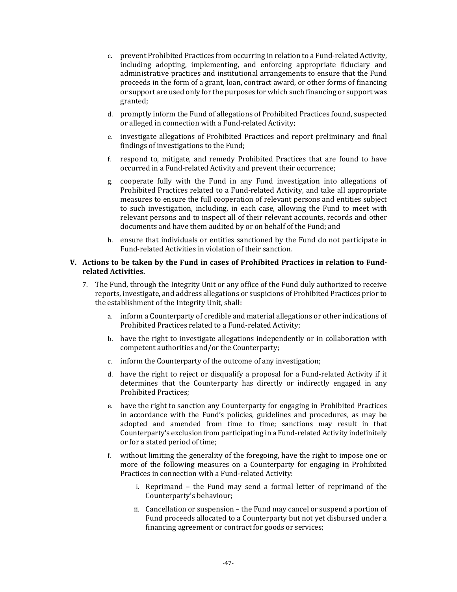- c. prevent Prohibited Practices from occurring in relation to a Fund-related Activity, including adopting, implementing, and enforcing appropriate fiduciary and administrative practices and institutional arrangements to ensure that the Fund proceeds in the form of a grant, loan, contract award, or other forms of financing or support are used only for the purposes for which such financing or support was granted;
- d. promptly inform the Fund of allegations of Prohibited Practices found, suspected or alleged in connection with a Fund-related Activity;
- e. investigate allegations of Prohibited Practices and report preliminary and final findings of investigations to the Fund;
- f. respond to, mitigate, and remedy Prohibited Practices that are found to have occurred in a Fund-related Activity and prevent their occurrence;
- g. cooperate fully with the Fund in any Fund investigation into allegations of Prohibited Practices related to a Fund-related Activity, and take all appropriate measures to ensure the full cooperation of relevant persons and entities subject to such investigation, including, in each case, allowing the Fund to meet with relevant persons and to inspect all of their relevant accounts, records and other documents and have them audited by or on behalf of the Fund; and
- h. ensure that individuals or entities sanctioned by the Fund do not participate in Fund-related Activities in violation of their sanction.

## **V. Actions to be taken by the Fund in cases of Prohibited Practices in relation to Fundrelated Activities.**

- 7. The Fund, through the Integrity Unit or any office of the Fund duly authorized to receive reports, investigate, and address allegations or suspicions of Prohibited Practices prior to the establishment of the Integrity Unit, shall:
	- a. inform a Counterparty of credible and material allegations or other indications of Prohibited Practices related to a Fund-related Activity;
	- b. have the right to investigate allegations independently or in collaboration with competent authorities and/or the Counterparty;
	- c. inform the Counterparty of the outcome of any investigation;
	- d. have the right to reject or disqualify a proposal for a Fund-related Activity if it determines that the Counterparty has directly or indirectly engaged in any Prohibited Practices;
	- e. have the right to sanction any Counterparty for engaging in Prohibited Practices in accordance with the Fund's policies, guidelines and procedures, as may be adopted and amended from time to time; sanctions may result in that Counterparty's exclusion from participating in a Fund-related Activity indefinitely or for a stated period of time;
	- f. without limiting the generality of the foregoing, have the right to impose one or more of the following measures on a Counterparty for engaging in Prohibited Practices in connection with a Fund-related Activity:
		- i. Reprimand the Fund may send a formal letter of reprimand of the Counterparty's behaviour;
		- ii. Cancellation or suspension the Fund may cancel or suspend a portion of Fund proceeds allocated to a Counterparty but not yet disbursed under a financing agreement or contract for goods or services;